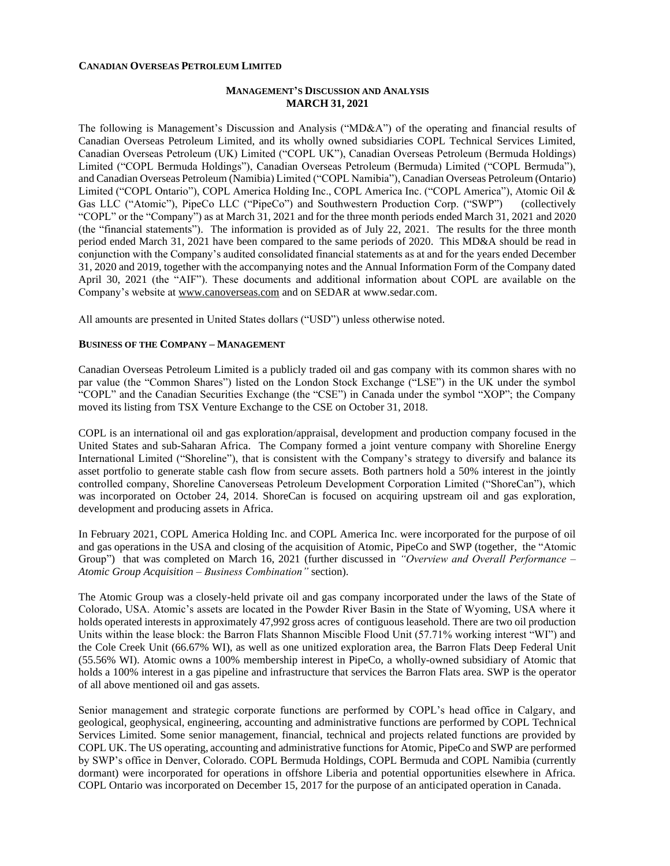#### **CANADIAN OVERSEAS PETROLEUM LIMITED**

### **MANAGEMENT'S DISCUSSION AND ANALYSIS MARCH 31, 2021**

The following is Management's Discussion and Analysis ("MD&A") of the operating and financial results of Canadian Overseas Petroleum Limited, and its wholly owned subsidiaries COPL Technical Services Limited, Canadian Overseas Petroleum (UK) Limited ("COPL UK"), Canadian Overseas Petroleum (Bermuda Holdings) Limited ("COPL Bermuda Holdings"), Canadian Overseas Petroleum (Bermuda) Limited ("COPL Bermuda"), and Canadian Overseas Petroleum (Namibia) Limited ("COPL Namibia"), Canadian Overseas Petroleum (Ontario) Limited ("COPL Ontario"), COPL America Holding Inc., COPL America Inc. ("COPL America"), Atomic Oil & Gas LLC ("Atomic"), PipeCo LLC ("PipeCo") and Southwestern Production Corp. ("SWP") (collectively "COPL" or the "Company") as at March 31, 2021 and for the three month periods ended March 31, 2021 and 2020 (the "financial statements"). The information is provided as of July 22, 2021. The results for the three month period ended March 31, 2021 have been compared to the same periods of 2020. This MD&A should be read in conjunction with the Company's audited consolidated financial statements as at and for the years ended December 31, 2020 and 2019, together with the accompanying notes and the Annual Information Form of the Company dated April 30, 2021 (the "AIF"). These documents and additional information about COPL are available on the Company's website at [www.canoverseas.com](http://www.canoverseas.com/) and on SEDAR at [www.sedar.com.](http://www.sedar.com/)

All amounts are presented in United States dollars ("USD") unless otherwise noted.

# **BUSINESS OF THE COMPANY – MANAGEMENT**

Canadian Overseas Petroleum Limited is a publicly traded oil and gas company with its common shares with no par value (the "Common Shares") listed on the London Stock Exchange ("LSE") in the UK under the symbol "COPL" and the Canadian Securities Exchange (the "CSE") in Canada under the symbol "XOP"; the Company moved its listing from TSX Venture Exchange to the CSE on October 31, 2018.

COPL is an international oil and gas exploration/appraisal, development and production company focused in the United States and sub-Saharan Africa. The Company formed a joint venture company with Shoreline Energy International Limited ("Shoreline"), that is consistent with the Company's strategy to diversify and balance its asset portfolio to generate stable cash flow from secure assets. Both partners hold a 50% interest in the jointly controlled company, Shoreline Canoverseas Petroleum Development Corporation Limited ("ShoreCan"), which was incorporated on October 24, 2014. ShoreCan is focused on acquiring upstream oil and gas exploration, development and producing assets in Africa.

In February 2021, COPL America Holding Inc. and COPL America Inc. were incorporated for the purpose of oil and gas operations in the USA and closing of the acquisition of Atomic, PipeCo and SWP (together, the "Atomic Group") that was completed on March 16, 2021 (further discussed in *"Overview and Overall Performance – Atomic Group Acquisition – Business Combination"* section).

The Atomic Group was a closely-held private oil and gas company incorporated under the laws of the State of Colorado, USA. Atomic's assets are located in the Powder River Basin in the State of Wyoming, USA where it holds operated interests in approximately 47,992 gross acres of contiguous leasehold. There are two oil production Units within the lease block: the Barron Flats Shannon Miscible Flood Unit (57.71% working interest "WI") and the Cole Creek Unit (66.67% WI), as well as one unitized exploration area, the Barron Flats Deep Federal Unit (55.56% WI). Atomic owns a 100% membership interest in PipeCo, a wholly-owned subsidiary of Atomic that holds a 100% interest in a gas pipeline and infrastructure that services the Barron Flats area. SWP is the operator of all above mentioned oil and gas assets.

Senior management and strategic corporate functions are performed by COPL's head office in Calgary, and geological, geophysical, engineering, accounting and administrative functions are performed by COPL Technical Services Limited. Some senior management, financial, technical and projects related functions are provided by COPL UK. The US operating, accounting and administrative functions for Atomic, PipeCo and SWP are performed by SWP's office in Denver, Colorado. COPL Bermuda Holdings, COPL Bermuda and COPL Namibia (currently dormant) were incorporated for operations in offshore Liberia and potential opportunities elsewhere in Africa. COPL Ontario was incorporated on December 15, 2017 for the purpose of an anticipated operation in Canada.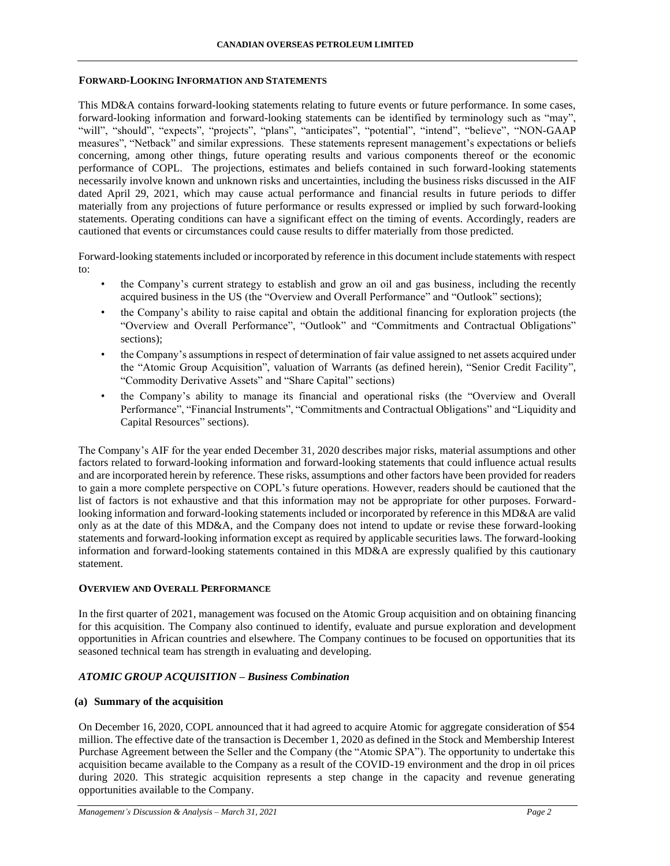### **FORWARD-LOOKING INFORMATION AND STATEMENTS**

This MD&A contains forward-looking statements relating to future events or future performance. In some cases, forward-looking information and forward-looking statements can be identified by terminology such as "may", "will", "should", "expects", "projects", "plans", "anticipates", "potential", "intend", "believe", "NON-GAAP measures", "Netback" and similar expressions. These statements represent management's expectations or beliefs concerning, among other things, future operating results and various components thereof or the economic performance of COPL. The projections, estimates and beliefs contained in such forward-looking statements necessarily involve known and unknown risks and uncertainties, including the business risks discussed in the AIF dated April 29, 2021, which may cause actual performance and financial results in future periods to differ materially from any projections of future performance or results expressed or implied by such forward-looking statements. Operating conditions can have a significant effect on the timing of events. Accordingly, readers are cautioned that events or circumstances could cause results to differ materially from those predicted.

Forward-looking statements included or incorporated by reference in this document include statements with respect to:

- the Company's current strategy to establish and grow an oil and gas business, including the recently acquired business in the US (the "Overview and Overall Performance" and "Outlook" sections);
- the Company's ability to raise capital and obtain the additional financing for exploration projects (the "Overview and Overall Performance", "Outlook" and "Commitments and Contractual Obligations" sections);
- the Company's assumptions in respect of determination of fair value assigned to net assets acquired under the "Atomic Group Acquisition", valuation of Warrants (as defined herein), "Senior Credit Facility", "Commodity Derivative Assets" and "Share Capital" sections)
- the Company's ability to manage its financial and operational risks (the "Overview and Overall Performance", "Financial Instruments", "Commitments and Contractual Obligations" and "Liquidity and Capital Resources" sections).

The Company's AIF for the year ended December 31, 2020 describes major risks, material assumptions and other factors related to forward-looking information and forward-looking statements that could influence actual results and are incorporated herein by reference. These risks, assumptions and other factors have been provided for readers to gain a more complete perspective on COPL's future operations. However, readers should be cautioned that the list of factors is not exhaustive and that this information may not be appropriate for other purposes. Forwardlooking information and forward-looking statements included or incorporated by reference in this MD&A are valid only as at the date of this MD&A, and the Company does not intend to update or revise these forward-looking statements and forward-looking information except as required by applicable securities laws. The forward-looking information and forward-looking statements contained in this MD&A are expressly qualified by this cautionary statement.

# **OVERVIEW AND OVERALL PERFORMANCE**

In the first quarter of 2021, management was focused on the Atomic Group acquisition and on obtaining financing for this acquisition. The Company also continued to identify, evaluate and pursue exploration and development opportunities in African countries and elsewhere. The Company continues to be focused on opportunities that its seasoned technical team has strength in evaluating and developing.

# *ATOMIC GROUP ACQUISITION – Business Combination*

# **(a) Summary of the acquisition**

On December 16, 2020, COPL announced that it had agreed to acquire Atomic for aggregate consideration of \$54 million. The effective date of the transaction is December 1, 2020 as defined in the Stock and Membership Interest Purchase Agreement between the Seller and the Company (the "Atomic SPA"). The opportunity to undertake this acquisition became available to the Company as a result of the COVID-19 environment and the drop in oil prices during 2020. This strategic acquisition represents a step change in the capacity and revenue generating opportunities available to the Company.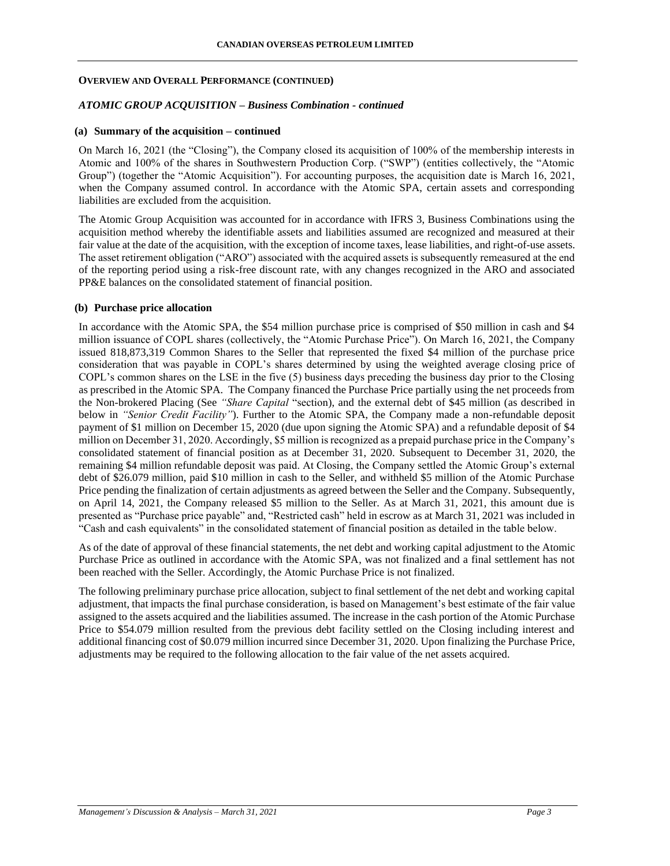#### *ATOMIC GROUP ACQUISITION – Business Combination - continued*

#### **(a) Summary of the acquisition – continued**

On March 16, 2021 (the "Closing"), the Company closed its acquisition of 100% of the membership interests in Atomic and 100% of the shares in Southwestern Production Corp. ("SWP") (entities collectively, the "Atomic Group") (together the "Atomic Acquisition"). For accounting purposes, the acquisition date is March 16, 2021, when the Company assumed control. In accordance with the Atomic SPA, certain assets and corresponding liabilities are excluded from the acquisition.

The Atomic Group Acquisition was accounted for in accordance with IFRS 3, Business Combinations using the acquisition method whereby the identifiable assets and liabilities assumed are recognized and measured at their fair value at the date of the acquisition, with the exception of income taxes, lease liabilities, and right-of-use assets. The asset retirement obligation ("ARO") associated with the acquired assets is subsequently remeasured at the end of the reporting period using a risk-free discount rate, with any changes recognized in the ARO and associated PP&E balances on the consolidated statement of financial position.

#### **(b) Purchase price allocation**

In accordance with the Atomic SPA, the \$54 million purchase price is comprised of \$50 million in cash and \$4 million issuance of COPL shares (collectively, the "Atomic Purchase Price"). On March 16, 2021, the Company issued 818,873,319 Common Shares to the Seller that represented the fixed \$4 million of the purchase price consideration that was payable in COPL's shares determined by using the weighted average closing price of COPL's common shares on the LSE in the five (5) business days preceding the business day prior to the Closing as prescribed in the Atomic SPA. The Company financed the Purchase Price partially using the net proceeds from the Non-brokered Placing (See *"Share Capital* "section), and the external debt of \$45 million (as described in below in *"Senior Credit Facility"*). Further to the Atomic SPA, the Company made a non-refundable deposit payment of \$1 million on December 15, 2020 (due upon signing the Atomic SPA) and a refundable deposit of \$4 million on December 31, 2020. Accordingly, \$5 million is recognized as a prepaid purchase price in the Company's consolidated statement of financial position as at December 31, 2020. Subsequent to December 31, 2020, the remaining \$4 million refundable deposit was paid. At Closing, the Company settled the Atomic Group's external debt of \$26.079 million, paid \$10 million in cash to the Seller, and withheld \$5 million of the Atomic Purchase Price pending the finalization of certain adjustments as agreed between the Seller and the Company. Subsequently, on April 14, 2021, the Company released \$5 million to the Seller. As at March 31, 2021, this amount due is presented as "Purchase price payable" and, "Restricted cash" held in escrow as at March 31, 2021 was included in "Cash and cash equivalents" in the consolidated statement of financial position as detailed in the table below.

As of the date of approval of these financial statements, the net debt and working capital adjustment to the Atomic Purchase Price as outlined in accordance with the Atomic SPA, was not finalized and a final settlement has not been reached with the Seller. Accordingly, the Atomic Purchase Price is not finalized.

The following preliminary purchase price allocation, subject to final settlement of the net debt and working capital adjustment, that impacts the final purchase consideration, is based on Management's best estimate of the fair value assigned to the assets acquired and the liabilities assumed. The increase in the cash portion of the Atomic Purchase Price to \$54.079 million resulted from the previous debt facility settled on the Closing including interest and additional financing cost of \$0.079 million incurred since December 31, 2020. Upon finalizing the Purchase Price, adjustments may be required to the following allocation to the fair value of the net assets acquired.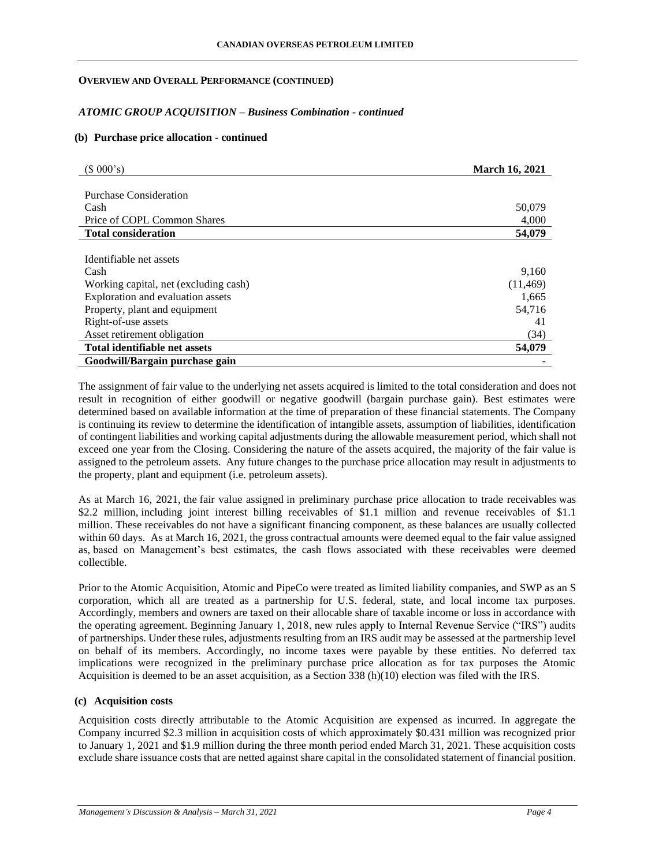### *ATOMIC GROUP ACQUISITION – Business Combination - continued*

#### **(b) Purchase price allocation - continued**

| (\$000's)                             | <b>March 16, 2021</b> |
|---------------------------------------|-----------------------|
|                                       |                       |
| Purchase Consideration                |                       |
| Cash                                  | 50,079                |
| Price of COPL Common Shares           | 4,000                 |
| <b>Total consideration</b>            | 54,079                |
|                                       |                       |
| Identifiable net assets               |                       |
| Cash                                  | 9,160                 |
| Working capital, net (excluding cash) | (11, 469)             |
| Exploration and evaluation assets     | 1,665                 |
| Property, plant and equipment         | 54,716                |
| Right-of-use assets                   | 41                    |
| Asset retirement obligation           | (34)                  |
| Total identifiable net assets         | 54,079                |
| Goodwill/Bargain purchase gain        |                       |

The assignment of fair value to the underlying net assets acquired is limited to the total consideration and does not result in recognition of either goodwill or negative goodwill (bargain purchase gain). Best estimates were determined based on available information at the time of preparation of these financial statements. The Company is continuing its review to determine the identification of intangible assets, assumption of liabilities, identification of contingent liabilities and working capital adjustments during the allowable measurement period, which shall not exceed one year from the Closing. Considering the nature of the assets acquired, the majority of the fair value is assigned to the petroleum assets. Any future changes to the purchase price allocation may result in adjustments to the property, plant and equipment (i.e. petroleum assets).

As at March 16, 2021, the fair value assigned in preliminary purchase price allocation to trade receivables was \$2.2 million, including joint interest billing receivables of \$1.1 million and revenue receivables of \$1.1 million. These receivables do not have a significant financing component, as these balances are usually collected within 60 days. As at March 16, 2021, the gross contractual amounts were deemed equal to the fair value assigned as, based on Management's best estimates, the cash flows associated with these receivables were deemed collectible.

Prior to the Atomic Acquisition, Atomic and PipeCo were treated as limited liability companies, and SWP as an S corporation, which all are treated as a partnership for U.S. federal, state, and local income tax purposes. Accordingly, members and owners are taxed on their allocable share of taxable income or loss in accordance with the operating agreement. Beginning January 1, 2018, new rules apply to Internal Revenue Service ("IRS") audits of partnerships. Under these rules, adjustments resulting from an IRS audit may be assessed at the partnership level on behalf of its members. Accordingly, no income taxes were payable by these entities. No deferred tax implications were recognized in the preliminary purchase price allocation as for tax purposes the Atomic Acquisition is deemed to be an asset acquisition, as a Section 338 (h)(10) election was filed with the IRS.

#### **(c) Acquisition costs**

Acquisition costs directly attributable to the Atomic Acquisition are expensed as incurred. In aggregate the Company incurred \$2.3 million in acquisition costs of which approximately \$0.431 million was recognized prior to January 1, 2021 and \$1.9 million during the three month period ended March 31, 2021. These acquisition costs exclude share issuance costs that are netted against share capital in the consolidated statement of financial position.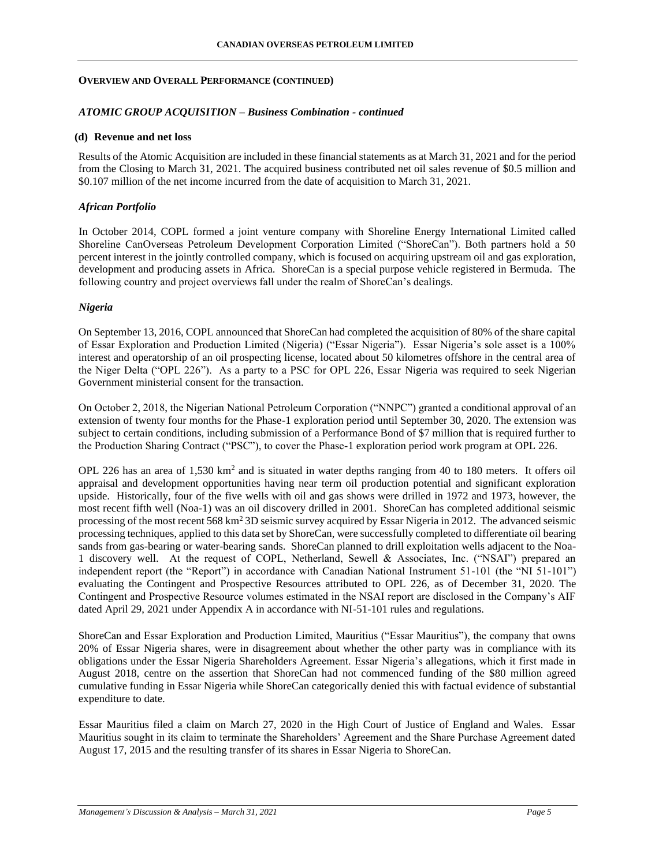#### *ATOMIC GROUP ACQUISITION – Business Combination - continued*

#### **(d) Revenue and net loss**

Results of the Atomic Acquisition are included in these financial statements as at March 31, 2021 and for the period from the Closing to March 31, 2021. The acquired business contributed net oil sales revenue of \$0.5 million and \$0.107 million of the net income incurred from the date of acquisition to March 31, 2021.

#### *African Portfolio*

In October 2014, COPL formed a joint venture company with Shoreline Energy International Limited called Shoreline CanOverseas Petroleum Development Corporation Limited ("ShoreCan"). Both partners hold a 50 percent interest in the jointly controlled company, which is focused on acquiring upstream oil and gas exploration, development and producing assets in Africa. ShoreCan is a special purpose vehicle registered in Bermuda. The following country and project overviews fall under the realm of ShoreCan's dealings.

#### *Nigeria*

On September 13, 2016, COPL announced that ShoreCan had completed the acquisition of 80% of the share capital of Essar Exploration and Production Limited (Nigeria) ("Essar Nigeria"). Essar Nigeria's sole asset is a 100% interest and operatorship of an oil prospecting license, located about 50 kilometres offshore in the central area of the Niger Delta ("OPL 226"). As a party to a PSC for OPL 226, Essar Nigeria was required to seek Nigerian Government ministerial consent for the transaction.

On October 2, 2018, the Nigerian National Petroleum Corporation ("NNPC") granted a conditional approval of an extension of twenty four months for the Phase-1 exploration period until September 30, 2020. The extension was subject to certain conditions, including submission of a Performance Bond of \$7 million that is required further to the Production Sharing Contract ("PSC"), to cover the Phase-1 exploration period work program at OPL 226.

OPL 226 has an area of  $1,530 \text{ km}^2$  and is situated in water depths ranging from 40 to 180 meters. It offers oil appraisal and development opportunities having near term oil production potential and significant exploration upside. Historically, four of the five wells with oil and gas shows were drilled in 1972 and 1973, however, the most recent fifth well (Noa-1) was an oil discovery drilled in 2001. ShoreCan has completed additional seismic processing of the most recent 568 km<sup>2</sup> 3D seismic survey acquired by Essar Nigeria in 2012. The advanced seismic processing techniques, applied to this data set by ShoreCan, were successfully completed to differentiate oil bearing sands from gas-bearing or water-bearing sands. ShoreCan planned to drill exploitation wells adjacent to the Noa-1 discovery well. At the request of COPL, Netherland, Sewell & Associates, Inc. ("NSAI") prepared an independent report (the "Report") in accordance with Canadian National Instrument 51-101 (the "NI 51-101") evaluating the Contingent and Prospective Resources attributed to OPL 226, as of December 31, 2020. The Contingent and Prospective Resource volumes estimated in the NSAI report are disclosed in the Company's AIF dated April 29, 2021 under Appendix A in accordance with NI-51-101 rules and regulations.

ShoreCan and Essar Exploration and Production Limited, Mauritius ("Essar Mauritius"), the company that owns 20% of Essar Nigeria shares, were in disagreement about whether the other party was in compliance with its obligations under the Essar Nigeria Shareholders Agreement. Essar Nigeria's allegations, which it first made in August 2018, centre on the assertion that ShoreCan had not commenced funding of the \$80 million agreed cumulative funding in Essar Nigeria while ShoreCan categorically denied this with factual evidence of substantial expenditure to date.

Essar Mauritius filed a claim on March 27, 2020 in the High Court of Justice of England and Wales. Essar Mauritius sought in its claim to terminate the Shareholders' Agreement and the Share Purchase Agreement dated August 17, 2015 and the resulting transfer of its shares in Essar Nigeria to ShoreCan.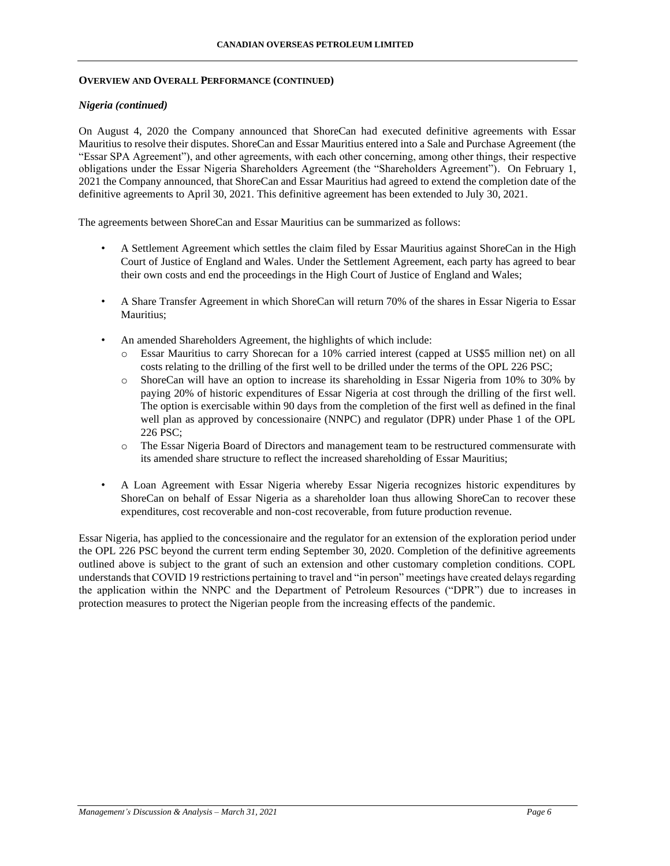### *Nigeria (continued)*

On August 4, 2020 the Company announced that ShoreCan had executed definitive agreements with Essar Mauritius to resolve their disputes. ShoreCan and Essar Mauritius entered into a Sale and Purchase Agreement (the "Essar SPA Agreement"), and other agreements, with each other concerning, among other things, their respective obligations under the Essar Nigeria Shareholders Agreement (the "Shareholders Agreement"). On February 1, 2021 the Company announced, that ShoreCan and Essar Mauritius had agreed to extend the completion date of the definitive agreements to April 30, 2021. This definitive agreement has been extended to July 30, 2021.

The agreements between ShoreCan and Essar Mauritius can be summarized as follows:

- A Settlement Agreement which settles the claim filed by Essar Mauritius against ShoreCan in the High Court of Justice of England and Wales. Under the Settlement Agreement, each party has agreed to bear their own costs and end the proceedings in the High Court of Justice of England and Wales;
- A Share Transfer Agreement in which ShoreCan will return 70% of the shares in Essar Nigeria to Essar Mauritius;
- An amended Shareholders Agreement, the highlights of which include:
	- o Essar Mauritius to carry Shorecan for a 10% carried interest (capped at US\$5 million net) on all costs relating to the drilling of the first well to be drilled under the terms of the OPL 226 PSC;
	- o ShoreCan will have an option to increase its shareholding in Essar Nigeria from 10% to 30% by paying 20% of historic expenditures of Essar Nigeria at cost through the drilling of the first well. The option is exercisable within 90 days from the completion of the first well as defined in the final well plan as approved by concessionaire (NNPC) and regulator (DPR) under Phase 1 of the OPL 226 PSC;
	- o The Essar Nigeria Board of Directors and management team to be restructured commensurate with its amended share structure to reflect the increased shareholding of Essar Mauritius;
- A Loan Agreement with Essar Nigeria whereby Essar Nigeria recognizes historic expenditures by ShoreCan on behalf of Essar Nigeria as a shareholder loan thus allowing ShoreCan to recover these expenditures, cost recoverable and non-cost recoverable, from future production revenue.

Essar Nigeria, has applied to the concessionaire and the regulator for an extension of the exploration period under the OPL 226 PSC beyond the current term ending September 30, 2020. Completion of the definitive agreements outlined above is subject to the grant of such an extension and other customary completion conditions. COPL understands that COVID 19 restrictions pertaining to travel and "in person" meetings have created delays regarding the application within the NNPC and the Department of Petroleum Resources ("DPR") due to increases in protection measures to protect the Nigerian people from the increasing effects of the pandemic.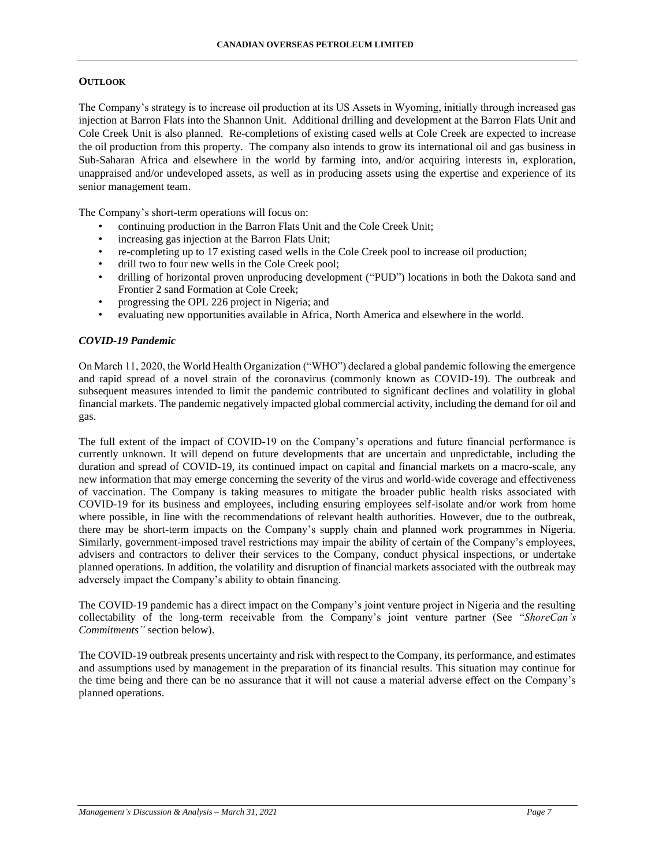### **OUTLOOK**

The Company's strategy is to increase oil production at its US Assets in Wyoming, initially through increased gas injection at Barron Flats into the Shannon Unit. Additional drilling and development at the Barron Flats Unit and Cole Creek Unit is also planned. Re-completions of existing cased wells at Cole Creek are expected to increase the oil production from this property. The company also intends to grow its international oil and gas business in Sub-Saharan Africa and elsewhere in the world by farming into, and/or acquiring interests in, exploration, unappraised and/or undeveloped assets, as well as in producing assets using the expertise and experience of its senior management team.

The Company's short-term operations will focus on:

- continuing production in the Barron Flats Unit and the Cole Creek Unit;
- increasing gas injection at the Barron Flats Unit;
- re-completing up to 17 existing cased wells in the Cole Creek pool to increase oil production;
- drill two to four new wells in the Cole Creek pool;
- drilling of horizontal proven unproducing development ("PUD") locations in both the Dakota sand and Frontier 2 sand Formation at Cole Creek;
- progressing the OPL 226 project in Nigeria; and
- evaluating new opportunities available in Africa, North America and elsewhere in the world.

### *COVID-19 Pandemic*

On March 11, 2020, the World Health Organization ("WHO") declared a global pandemic following the emergence and rapid spread of a novel strain of the coronavirus (commonly known as COVID-19). The outbreak and subsequent measures intended to limit the pandemic contributed to significant declines and volatility in global financial markets. The pandemic negatively impacted global commercial activity, including the demand for oil and gas.

The full extent of the impact of COVID-19 on the Company's operations and future financial performance is currently unknown. It will depend on future developments that are uncertain and unpredictable, including the duration and spread of COVID-19, its continued impact on capital and financial markets on a macro-scale, any new information that may emerge concerning the severity of the virus and world-wide coverage and effectiveness of vaccination. The Company is taking measures to mitigate the broader public health risks associated with COVID-19 for its business and employees, including ensuring employees self-isolate and/or work from home where possible, in line with the recommendations of relevant health authorities. However, due to the outbreak, there may be short-term impacts on the Company's supply chain and planned work programmes in Nigeria. Similarly, government-imposed travel restrictions may impair the ability of certain of the Company's employees, advisers and contractors to deliver their services to the Company, conduct physical inspections, or undertake planned operations. In addition, the volatility and disruption of financial markets associated with the outbreak may adversely impact the Company's ability to obtain financing.

The COVID-19 pandemic has a direct impact on the Company's joint venture project in Nigeria and the resulting collectability of the long-term receivable from the Company's joint venture partner (See "*ShoreCan's Commitments"* section below).

The COVID-19 outbreak presents uncertainty and risk with respect to the Company, its performance, and estimates and assumptions used by management in the preparation of its financial results. This situation may continue for the time being and there can be no assurance that it will not cause a material adverse effect on the Company's planned operations.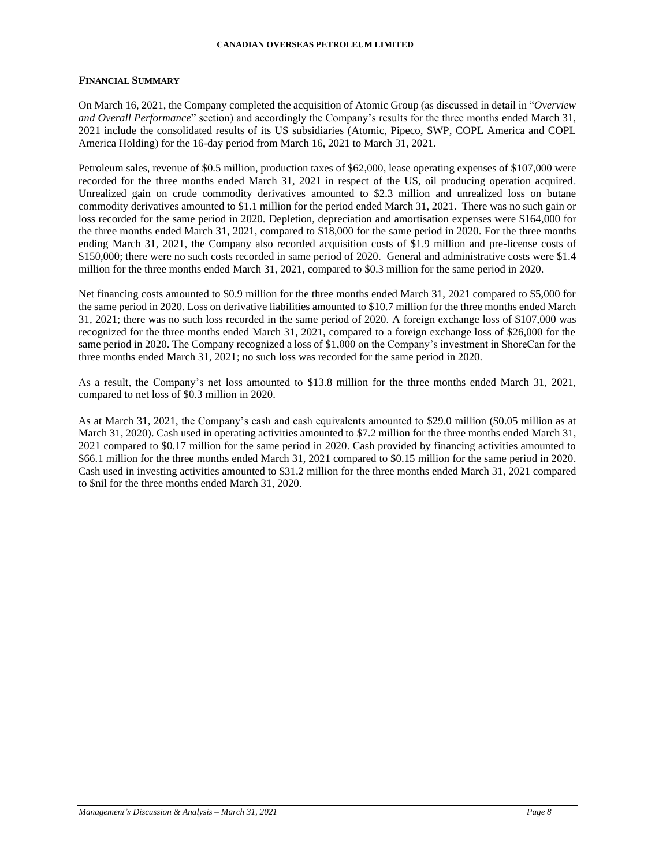### **FINANCIAL SUMMARY**

On March 16, 2021, the Company completed the acquisition of Atomic Group (as discussed in detail in "*Overview and Overall Performance*" section) and accordingly the Company's results for the three months ended March 31, 2021 include the consolidated results of its US subsidiaries (Atomic, Pipeco, SWP, COPL America and COPL America Holding) for the 16-day period from March 16, 2021 to March 31, 2021.

Petroleum sales, revenue of \$0.5 million, production taxes of \$62,000, lease operating expenses of \$107,000 were recorded for the three months ended March 31, 2021 in respect of the US, oil producing operation acquired. Unrealized gain on crude commodity derivatives amounted to \$2.3 million and unrealized loss on butane commodity derivatives amounted to \$1.1 million for the period ended March 31, 2021. There was no such gain or loss recorded for the same period in 2020. Depletion, depreciation and amortisation expenses were \$164,000 for the three months ended March 31, 2021, compared to \$18,000 for the same period in 2020. For the three months ending March 31, 2021, the Company also recorded acquisition costs of \$1.9 million and pre-license costs of \$150,000; there were no such costs recorded in same period of 2020. General and administrative costs were \$1.4 million for the three months ended March 31, 2021, compared to \$0.3 million for the same period in 2020.

Net financing costs amounted to \$0.9 million for the three months ended March 31, 2021 compared to \$5,000 for the same period in 2020. Loss on derivative liabilities amounted to \$10.7 million for the three months ended March 31, 2021; there was no such loss recorded in the same period of 2020. A foreign exchange loss of \$107,000 was recognized for the three months ended March 31, 2021, compared to a foreign exchange loss of \$26,000 for the same period in 2020. The Company recognized a loss of \$1,000 on the Company's investment in ShoreCan for the three months ended March 31, 2021; no such loss was recorded for the same period in 2020.

As a result, the Company's net loss amounted to \$13.8 million for the three months ended March 31, 2021, compared to net loss of \$0.3 million in 2020.

As at March 31, 2021, the Company's cash and cash equivalents amounted to \$29.0 million (\$0.05 million as at March 31, 2020). Cash used in operating activities amounted to \$7.2 million for the three months ended March 31, 2021 compared to \$0.17 million for the same period in 2020. Cash provided by financing activities amounted to \$66.1 million for the three months ended March 31, 2021 compared to \$0.15 million for the same period in 2020. Cash used in investing activities amounted to \$31.2 million for the three months ended March 31, 2021 compared to \$nil for the three months ended March 31, 2020.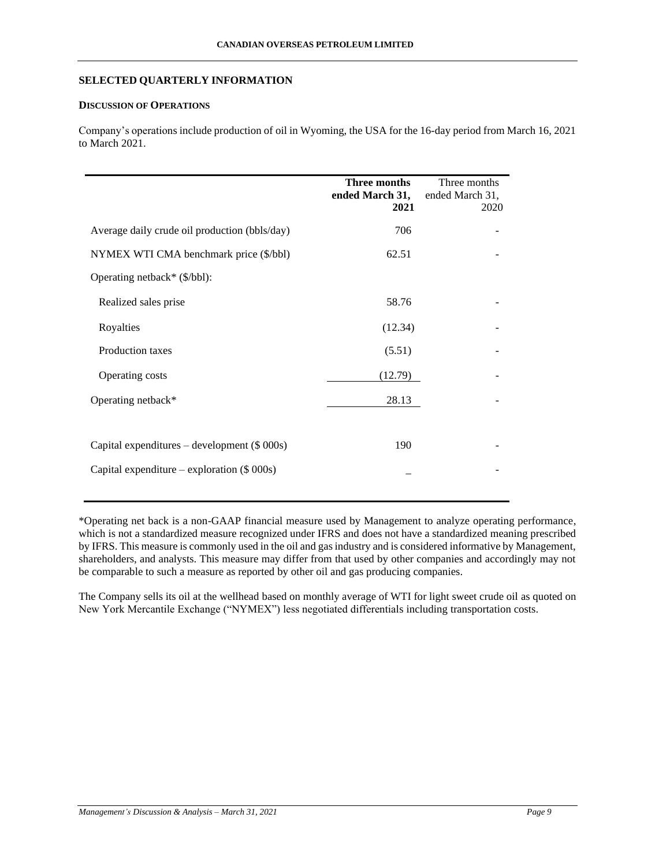### **SELECTED QUARTERLY INFORMATION**

# **DISCUSSION OF OPERATIONS**

Company's operations include production of oil in Wyoming, the USA for the 16-day period from March 16, 2021 to March 2021.

|                                               | Three months<br>ended March 31,<br>2021 | Three months<br>ended March 31,<br>2020 |
|-----------------------------------------------|-----------------------------------------|-----------------------------------------|
| Average daily crude oil production (bbls/day) | 706                                     |                                         |
| NYMEX WTI CMA benchmark price (\$/bbl)        | 62.51                                   |                                         |
| Operating netback* (\$/bbl):                  |                                         |                                         |
| Realized sales prise                          | 58.76                                   |                                         |
| Royalties                                     | (12.34)                                 |                                         |
| Production taxes                              | (5.51)                                  |                                         |
| Operating costs                               | (12.79)                                 |                                         |
| Operating netback*                            | 28.13                                   |                                         |
|                                               |                                         |                                         |
| Capital expenditures – development $(\$000s)$ | 190                                     |                                         |
| Capital expenditure – exploration $(\$000s)$  |                                         |                                         |

\*Operating net back is a non-GAAP financial measure used by Management to analyze operating performance, which is not a standardized measure recognized under IFRS and does not have a standardized meaning prescribed by IFRS. This measure is commonly used in the oil and gas industry and is considered informative by Management, shareholders, and analysts. This measure may differ from that used by other companies and accordingly may not be comparable to such a measure as reported by other oil and gas producing companies.

The Company sells its oil at the wellhead based on monthly average of WTI for light sweet crude oil as quoted on New York Mercantile Exchange ("NYMEX") less negotiated differentials including transportation costs.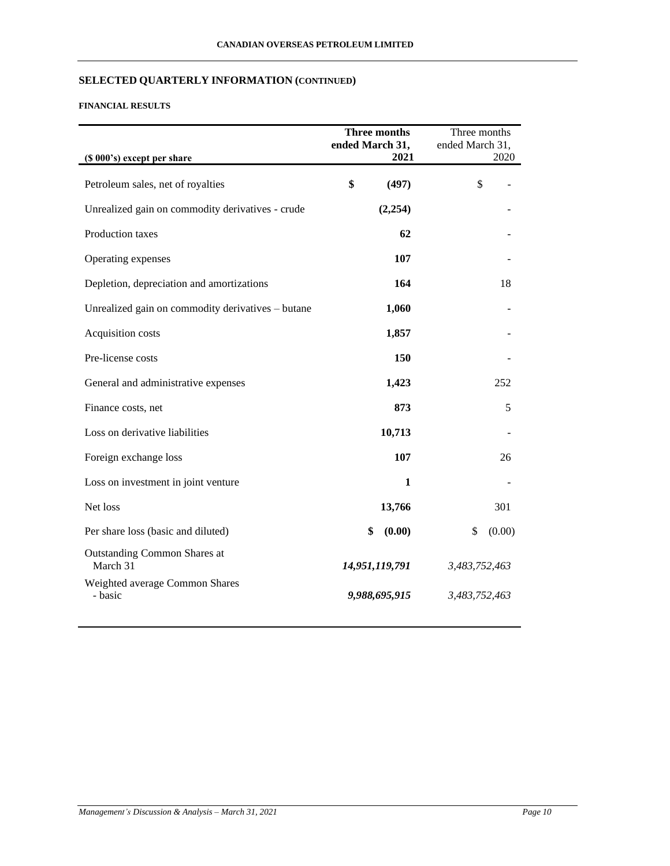# **SELECTED QUARTERLY INFORMATION (CONTINUED)**

# **FINANCIAL RESULTS**

|                                                   | Three months<br>ended March 31, |               | Three months<br>ended March 31, |        |
|---------------------------------------------------|---------------------------------|---------------|---------------------------------|--------|
| (\$ 000's) except per share                       |                                 | 2021          |                                 | 2020   |
| Petroleum sales, net of royalties                 | \$                              | (497)         |                                 | \$     |
| Unrealized gain on commodity derivatives - crude  |                                 | (2,254)       |                                 |        |
| Production taxes                                  |                                 | 62            |                                 |        |
| Operating expenses                                |                                 | 107           |                                 |        |
| Depletion, depreciation and amortizations         |                                 | 164           |                                 | 18     |
| Unrealized gain on commodity derivatives - butane |                                 | 1,060         |                                 |        |
| Acquisition costs                                 |                                 | 1,857         |                                 |        |
| Pre-license costs                                 |                                 | 150           |                                 |        |
| General and administrative expenses               |                                 | 1,423         |                                 | 252    |
| Finance costs, net                                |                                 | 873           |                                 | 5      |
| Loss on derivative liabilities                    |                                 | 10,713        |                                 |        |
| Foreign exchange loss                             |                                 | 107           |                                 | 26     |
| Loss on investment in joint venture               |                                 | $\mathbf{1}$  |                                 |        |
| Net loss                                          |                                 | 13,766        |                                 | 301    |
| Per share loss (basic and diluted)                | \$                              | (0.00)        | \$                              | (0.00) |
| <b>Outstanding Common Shares at</b><br>March 31   | 14,951,119,791                  |               | 3,483,752,463                   |        |
| Weighted average Common Shares<br>- basic         |                                 | 9,988,695,915 | 3,483,752,463                   |        |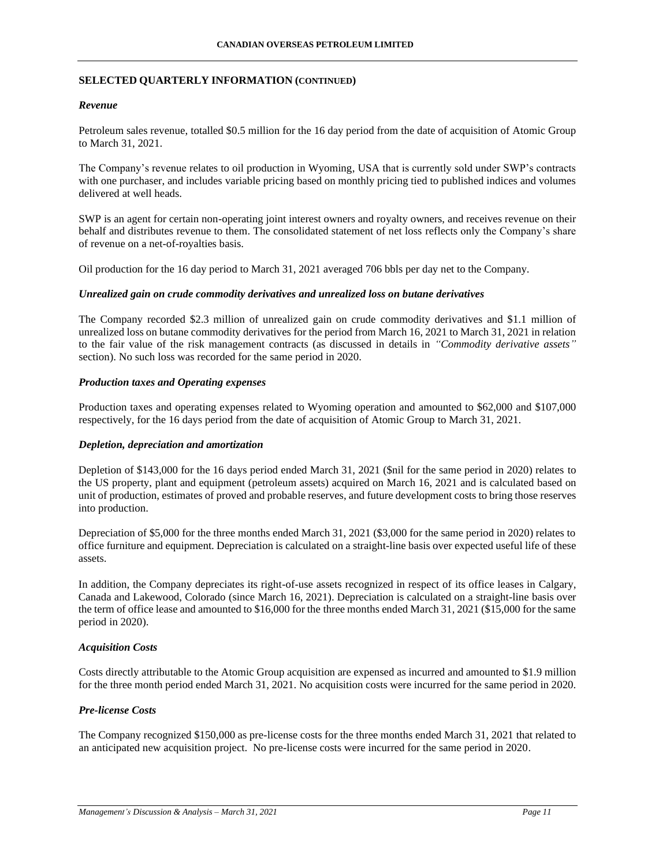### **SELECTED QUARTERLY INFORMATION (CONTINUED)**

### *Revenue*

Petroleum sales revenue, totalled \$0.5 million for the 16 day period from the date of acquisition of Atomic Group to March 31, 2021.

The Company's revenue relates to oil production in Wyoming, USA that is currently sold under SWP's contracts with one purchaser, and includes variable pricing based on monthly pricing tied to published indices and volumes delivered at well heads.

SWP is an agent for certain non-operating joint interest owners and royalty owners, and receives revenue on their behalf and distributes revenue to them. The consolidated statement of net loss reflects only the Company's share of revenue on a net-of-royalties basis.

Oil production for the 16 day period to March 31, 2021 averaged 706 bbls per day net to the Company.

### *Unrealized gain on crude commodity derivatives and unrealized loss on butane derivatives*

The Company recorded \$2.3 million of unrealized gain on crude commodity derivatives and \$1.1 million of unrealized loss on butane commodity derivatives for the period from March 16, 2021 to March 31, 2021 in relation to the fair value of the risk management contracts (as discussed in details in *"Commodity derivative assets"* section). No such loss was recorded for the same period in 2020.

### *Production taxes and Operating expenses*

Production taxes and operating expenses related to Wyoming operation and amounted to \$62,000 and \$107,000 respectively, for the 16 days period from the date of acquisition of Atomic Group to March 31, 2021.

### *Depletion, depreciation and amortization*

Depletion of \$143,000 for the 16 days period ended March 31, 2021 (\$nil for the same period in 2020) relates to the US property, plant and equipment (petroleum assets) acquired on March 16, 2021 and is calculated based on unit of production, estimates of proved and probable reserves, and future development costs to bring those reserves into production.

Depreciation of \$5,000 for the three months ended March 31, 2021 (\$3,000 for the same period in 2020) relates to office furniture and equipment. Depreciation is calculated on a straight-line basis over expected useful life of these assets.

In addition, the Company depreciates its right-of-use assets recognized in respect of its office leases in Calgary, Canada and Lakewood, Colorado (since March 16, 2021). Depreciation is calculated on a straight-line basis over the term of office lease and amounted to \$16,000 for the three months ended March 31, 2021 (\$15,000 for the same period in 2020).

# *Acquisition Costs*

Costs directly attributable to the Atomic Group acquisition are expensed as incurred and amounted to \$1.9 million for the three month period ended March 31, 2021. No acquisition costs were incurred for the same period in 2020.

# *Pre-license Costs*

The Company recognized \$150,000 as pre-license costs for the three months ended March 31, 2021 that related to an anticipated new acquisition project. No pre-license costs were incurred for the same period in 2020.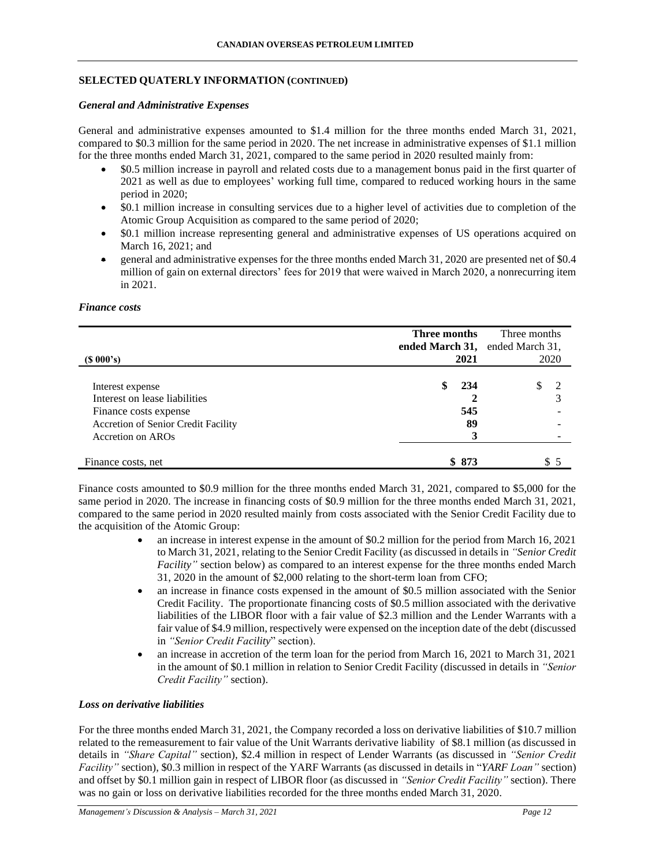# **SELECTED QUATERLY INFORMATION (CONTINUED)**

#### *General and Administrative Expenses*

General and administrative expenses amounted to \$1.4 million for the three months ended March 31, 2021, compared to \$0.3 million for the same period in 2020. The net increase in administrative expenses of \$1.1 million for the three months ended March 31, 2021, compared to the same period in 2020 resulted mainly from:

- \$0.5 million increase in payroll and related costs due to a management bonus paid in the first quarter of 2021 as well as due to employees' working full time, compared to reduced working hours in the same period in 2020;
- \$0.1 million increase in consulting services due to a higher level of activities due to completion of the Atomic Group Acquisition as compared to the same period of 2020;
- \$0.1 million increase representing general and administrative expenses of US operations acquired on March 16, 2021; and
- general and administrative expenses for the three months ended March 31, 2020 are presented net of \$0.4 million of gain on external directors' fees for 2019 that were waived in March 2020, a nonrecurring item in 2021.

#### *Finance costs*

| $(S\ 000's)$                                                                                                                           | Three months<br>ended March 31,<br>2021 | Three months<br>ended March 31,<br>2020 |
|----------------------------------------------------------------------------------------------------------------------------------------|-----------------------------------------|-----------------------------------------|
| Interest expense<br>Interest on lease liabilities<br>Finance costs expense<br>Accretion of Senior Credit Facility<br>Accretion on AROs | 234<br>545<br>89                        |                                         |
| Finance costs, net                                                                                                                     | \$873                                   | S.                                      |

Finance costs amounted to \$0.9 million for the three months ended March 31, 2021, compared to \$5,000 for the same period in 2020. The increase in financing costs of \$0.9 million for the three months ended March 31, 2021, compared to the same period in 2020 resulted mainly from costs associated with the Senior Credit Facility due to the acquisition of the Atomic Group:

- an increase in interest expense in the amount of \$0.2 million for the period from March 16, 2021 to March 31, 2021, relating to the Senior Credit Facility (as discussed in details in *"Senior Credit Facility"* section below) as compared to an interest expense for the three months ended March 31, 2020 in the amount of \$2,000 relating to the short-term loan from CFO;
- an increase in finance costs expensed in the amount of \$0.5 million associated with the Senior Credit Facility. The proportionate financing costs of \$0.5 million associated with the derivative liabilities of the LIBOR floor with a fair value of \$2.3 million and the Lender Warrants with a fair value of \$4.9 million, respectively were expensed on the inception date of the debt (discussed in *"Senior Credit Facility*" section).
- an increase in accretion of the term loan for the period from March 16, 2021 to March 31, 2021 in the amount of \$0.1 million in relation to Senior Credit Facility (discussed in details in *"Senior Credit Facility"* section).

### *Loss on derivative liabilities*

For the three months ended March 31, 2021, the Company recorded a loss on derivative liabilities of \$10.7 million related to the remeasurement to fair value of the Unit Warrants derivative liability of \$8.1 million (as discussed in details in *"Share Capital"* section), \$2.4 million in respect of Lender Warrants (as discussed in *"Senior Credit Facility"* section), \$0.3 million in respect of the YARF Warrants (as discussed in details in "*YARF Loan"* section) and offset by \$0.1 million gain in respect of LIBOR floor (as discussed in *"Senior Credit Facility"* section). There was no gain or loss on derivative liabilities recorded for the three months ended March 31, 2020.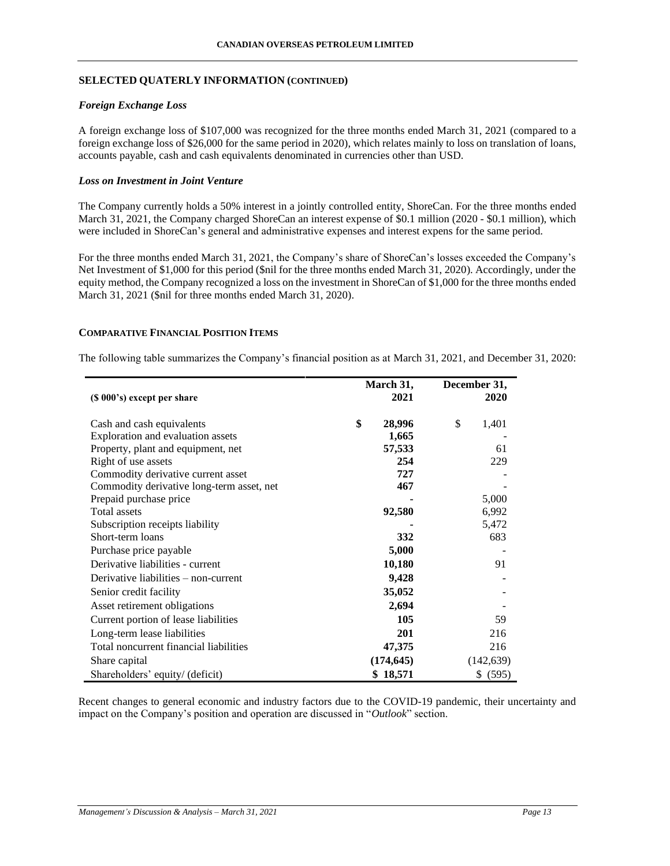### **SELECTED QUATERLY INFORMATION (CONTINUED)**

### *Foreign Exchange Loss*

A foreign exchange loss of \$107,000 was recognized for the three months ended March 31, 2021 (compared to a foreign exchange loss of \$26,000 for the same period in 2020), which relates mainly to loss on translation of loans, accounts payable, cash and cash equivalents denominated in currencies other than USD.

### *Loss on Investment in Joint Venture*

The Company currently holds a 50% interest in a jointly controlled entity, ShoreCan. For the three months ended March 31, 2021, the Company charged ShoreCan an interest expense of \$0.1 million (2020 - \$0.1 million), which were included in ShoreCan's general and administrative expenses and interest expens for the same period.

For the three months ended March 31, 2021, the Company's share of ShoreCan's losses exceeded the Company's Net Investment of \$1,000 for this period (\$nil for the three months ended March 31, 2020). Accordingly, under the equity method, the Company recognized a loss on the investment in ShoreCan of \$1,000 for the three months ended March 31, 2021 (\$nil for three months ended March 31, 2020).

### **COMPARATIVE FINANCIAL POSITION ITEMS**

The following table summarizes the Company's financial position as at March 31, 2021, and December 31, 2020:

|                                           | March 31,    | December 31, |
|-------------------------------------------|--------------|--------------|
| (\$ 000's) except per share               | 2021         | 2020         |
| Cash and cash equivalents                 | \$<br>28,996 | \$<br>1,401  |
| Exploration and evaluation assets         | 1,665        |              |
| Property, plant and equipment, net        | 57,533       | 61           |
| Right of use assets                       | 254          | 229          |
| Commodity derivative current asset        | 727          |              |
| Commodity derivative long-term asset, net | 467          |              |
| Prepaid purchase price                    |              | 5,000        |
| <b>Total assets</b>                       | 92,580       | 6,992        |
| Subscription receipts liability           |              | 5,472        |
| Short-term loans                          | 332          | 683          |
| Purchase price payable                    | 5,000        |              |
| Derivative liabilities - current          | 10,180       | 91           |
| Derivative liabilities – non-current      | 9,428        |              |
| Senior credit facility                    | 35,052       |              |
| Asset retirement obligations              | 2,694        |              |
| Current portion of lease liabilities      | 105          | 59           |
| Long-term lease liabilities               | 201          | 216          |
| Total noncurrent financial liabilities    | 47,375       | 216          |
| Share capital                             | (174, 645)   | (142, 639)   |
| Shareholders' equity/ (deficit)           | \$18,571     | \$ (595)     |

Recent changes to general economic and industry factors due to the COVID-19 pandemic, their uncertainty and impact on the Company's position and operation are discussed in "*Outlook*" section.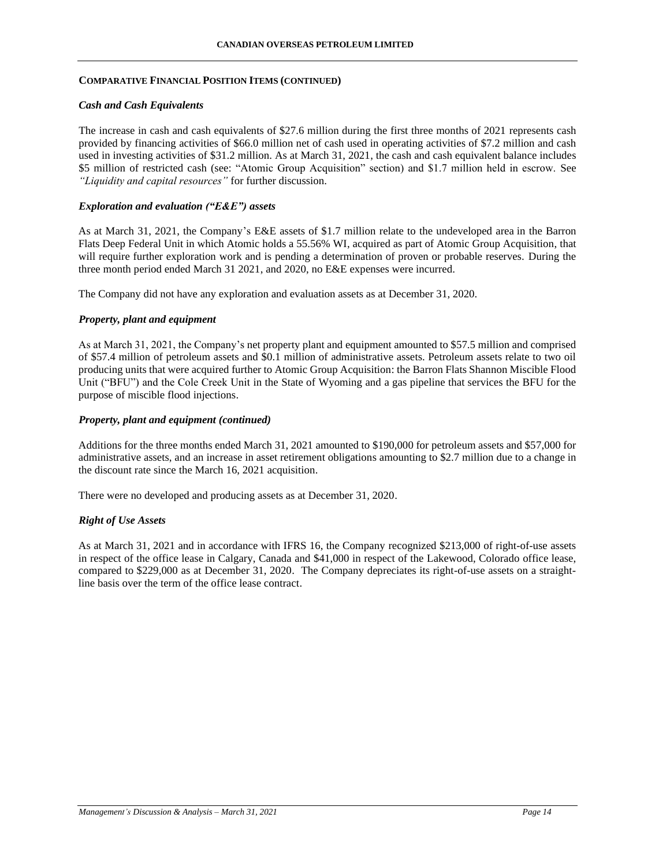### *Cash and Cash Equivalents*

The increase in cash and cash equivalents of \$27.6 million during the first three months of 2021 represents cash provided by financing activities of \$66.0 million net of cash used in operating activities of \$7.2 million and cash used in investing activities of \$31.2 million. As at March 31, 2021, the cash and cash equivalent balance includes \$5 million of restricted cash (see: "Atomic Group Acquisition" section) and \$1.7 million held in escrow. See *"Liquidity and capital resources"* for further discussion.

### *Exploration and evaluation ("E&E") assets*

As at March 31, 2021, the Company's E&E assets of \$1.7 million relate to the undeveloped area in the Barron Flats Deep Federal Unit in which Atomic holds a 55.56% WI, acquired as part of Atomic Group Acquisition, that will require further exploration work and is pending a determination of proven or probable reserves. During the three month period ended March 31 2021, and 2020, no E&E expenses were incurred.

The Company did not have any exploration and evaluation assets as at December 31, 2020.

### *Property, plant and equipment*

As at March 31, 2021, the Company's net property plant and equipment amounted to \$57.5 million and comprised of \$57.4 million of petroleum assets and \$0.1 million of administrative assets. Petroleum assets relate to two oil producing units that were acquired further to Atomic Group Acquisition: the Barron Flats Shannon Miscible Flood Unit ("BFU") and the Cole Creek Unit in the State of Wyoming and a gas pipeline that services the BFU for the purpose of miscible flood injections.

### *Property, plant and equipment (continued)*

Additions for the three months ended March 31, 2021 amounted to \$190,000 for petroleum assets and \$57,000 for administrative assets, and an increase in asset retirement obligations amounting to \$2.7 million due to a change in the discount rate since the March 16, 2021 acquisition.

There were no developed and producing assets as at December 31, 2020.

# *Right of Use Assets*

As at March 31, 2021 and in accordance with IFRS 16, the Company recognized \$213,000 of right-of-use assets in respect of the office lease in Calgary, Canada and \$41,000 in respect of the Lakewood, Colorado office lease, compared to \$229,000 as at December 31, 2020. The Company depreciates its right-of-use assets on a straightline basis over the term of the office lease contract.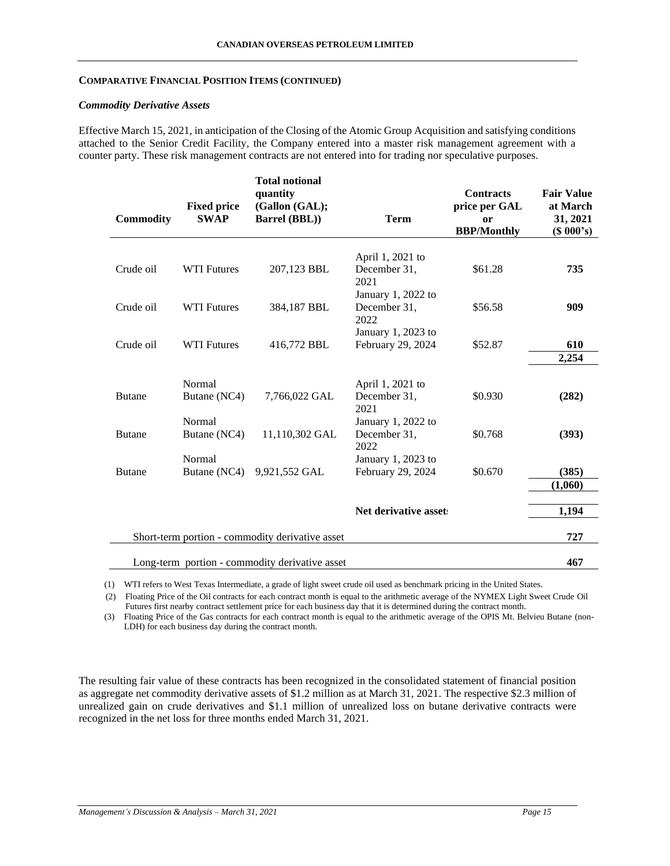#### *Commodity Derivative Assets*

Effective March 15, 2021, in anticipation of the Closing of the Atomic Group Acquisition and satisfying conditions attached to the Senior Credit Facility, the Company entered into a master risk management agreement with a counter party. These risk management contracts are not entered into for trading nor speculative purposes.

| <b>Commodity</b> | <b>Fixed price</b><br><b>SWAP</b> | <b>Total notional</b><br>quantity<br>(Gallon (GAL);<br><b>Barrel (BBL))</b> | <b>Term</b>           | <b>Contracts</b><br>price per GAL<br>or<br><b>BBP/Monthly</b> | <b>Fair Value</b><br>at March<br>31, 2021<br>(S 000's) |
|------------------|-----------------------------------|-----------------------------------------------------------------------------|-----------------------|---------------------------------------------------------------|--------------------------------------------------------|
|                  |                                   |                                                                             | April 1, 2021 to      |                                                               |                                                        |
| Crude oil        | <b>WTI Futures</b>                | 207,123 BBL                                                                 | December 31,<br>2021  | \$61.28                                                       | 735                                                    |
|                  |                                   |                                                                             | January 1, 2022 to    |                                                               |                                                        |
| Crude oil        | <b>WTI Futures</b>                | 384,187 BBL                                                                 | December 31,<br>2022  | \$56.58                                                       | 909                                                    |
|                  |                                   |                                                                             | January 1, 2023 to    |                                                               |                                                        |
| Crude oil        | <b>WTI Futures</b>                | 416,772 BBL                                                                 | February 29, 2024     | \$52.87                                                       | 610                                                    |
|                  |                                   |                                                                             |                       |                                                               | 2,254                                                  |
|                  | Normal                            |                                                                             | April 1, 2021 to      |                                                               |                                                        |
| <b>Butane</b>    | Butane (NC4)                      | 7,766,022 GAL                                                               | December 31,<br>2021  | \$0.930                                                       | (282)                                                  |
|                  | Normal                            |                                                                             | January 1, 2022 to    |                                                               |                                                        |
| <b>Butane</b>    | Butane (NC4)                      | 11,110,302 GAL                                                              | December 31,<br>2022  | \$0.768                                                       | (393)                                                  |
|                  | Normal                            |                                                                             | January 1, 2023 to    |                                                               |                                                        |
| <b>Butane</b>    | Butane (NC4)                      | 9,921,552 GAL                                                               | February 29, 2024     | \$0.670                                                       | (385)                                                  |
|                  |                                   |                                                                             |                       |                                                               | (1,060)                                                |
|                  |                                   |                                                                             | Net derivative asset: |                                                               | 1,194                                                  |
|                  |                                   |                                                                             |                       |                                                               |                                                        |
|                  |                                   | Short-term portion - commodity derivative asset                             |                       |                                                               | 727                                                    |
|                  |                                   | Long-term portion - commodity derivative asset                              |                       |                                                               | 467                                                    |

(1) WTI refers to West Texas Intermediate, a grade of light sweet crude oil used as benchmark pricing in the United States.

(2) Floating Price of the Oil contracts for each contract month is equal to the arithmetic average of the NYMEX Light Sweet Crude Oil Futures first nearby contract settlement price for each business day that it is determined during the contract month.

(3) Floating Price of the Gas contracts for each contract month is equal to the arithmetic average of the OPIS Mt. Belvieu Butane (non-LDH) for each business day during the contract month.

The resulting fair value of these contracts has been recognized in the consolidated statement of financial position as aggregate net commodity derivative assets of \$1.2 million as at March 31, 2021. The respective \$2.3 million of unrealized gain on crude derivatives and \$1.1 million of unrealized loss on butane derivative contracts were recognized in the net loss for three months ended March 31, 2021.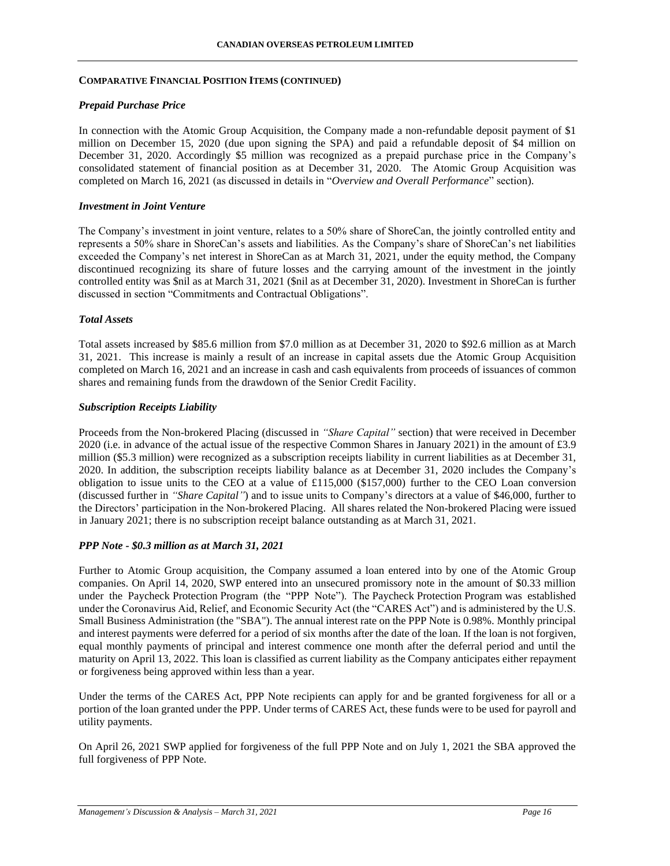### *Prepaid Purchase Price*

In connection with the Atomic Group Acquisition, the Company made a non-refundable deposit payment of \$1 million on December 15, 2020 (due upon signing the SPA) and paid a refundable deposit of \$4 million on December 31, 2020. Accordingly \$5 million was recognized as a prepaid purchase price in the Company's consolidated statement of financial position as at December 31, 2020. The Atomic Group Acquisition was completed on March 16, 2021 (as discussed in details in "*Overview and Overall Performance*" section).

### *Investment in Joint Venture*

The Company's investment in joint venture, relates to a 50% share of ShoreCan, the jointly controlled entity and represents a 50% share in ShoreCan's assets and liabilities. As the Company's share of ShoreCan's net liabilities exceeded the Company's net interest in ShoreCan as at March 31, 2021, under the equity method, the Company discontinued recognizing its share of future losses and the carrying amount of the investment in the jointly controlled entity was \$nil as at March 31, 2021 (\$nil as at December 31, 2020). Investment in ShoreCan is further discussed in section "Commitments and Contractual Obligations".

### *Total Assets*

Total assets increased by \$85.6 million from \$7.0 million as at December 31, 2020 to \$92.6 million as at March 31, 2021. This increase is mainly a result of an increase in capital assets due the Atomic Group Acquisition completed on March 16, 2021 and an increase in cash and cash equivalents from proceeds of issuances of common shares and remaining funds from the drawdown of the Senior Credit Facility.

### *Subscription Receipts Liability*

Proceeds from the Non-brokered Placing (discussed in *"Share Capital"* section) that were received in December 2020 (i.e. in advance of the actual issue of the respective Common Shares in January 2021) in the amount of £3.9 million (\$5.3 million) were recognized as a subscription receipts liability in current liabilities as at December 31, 2020. In addition, the subscription receipts liability balance as at December 31, 2020 includes the Company's obligation to issue units to the CEO at a value of £115,000 (\$157,000) further to the CEO Loan conversion (discussed further in *"Share Capital"*) and to issue units to Company's directors at a value of \$46,000, further to the Directors' participation in the Non-brokered Placing. All shares related the Non-brokered Placing were issued in January 2021; there is no subscription receipt balance outstanding as at March 31, 2021.

#### *PPP Note - \$0.3 million as at March 31, 2021*

Further to Atomic Group acquisition, the Company assumed a loan entered into by one of the Atomic Group companies. On April 14, 2020, SWP entered into an unsecured promissory note in the amount of \$0.33 million under the Paycheck Protection Program (the "PPP Note"). The Paycheck Protection Program was established under the Coronavirus Aid, Relief, and Economic Security Act (the "CARES Act") and is administered by the U.S. Small Business Administration (the "SBA"). The annual interest rate on the PPP Note is 0.98%. Monthly principal and interest payments were deferred for a period of six months after the date of the loan. If the loan is not forgiven, equal monthly payments of principal and interest commence one month after the deferral period and until the maturity on April 13, 2022. This loan is classified as current liability as the Company anticipates either repayment or forgiveness being approved within less than a year.

Under the terms of the CARES Act, PPP Note recipients can apply for and be granted forgiveness for all or a portion of the loan granted under the PPP. Under terms of CARES Act, these funds were to be used for payroll and utility payments.

On April 26, 2021 SWP applied for forgiveness of the full PPP Note and on July 1, 2021 the SBA approved the full forgiveness of PPP Note.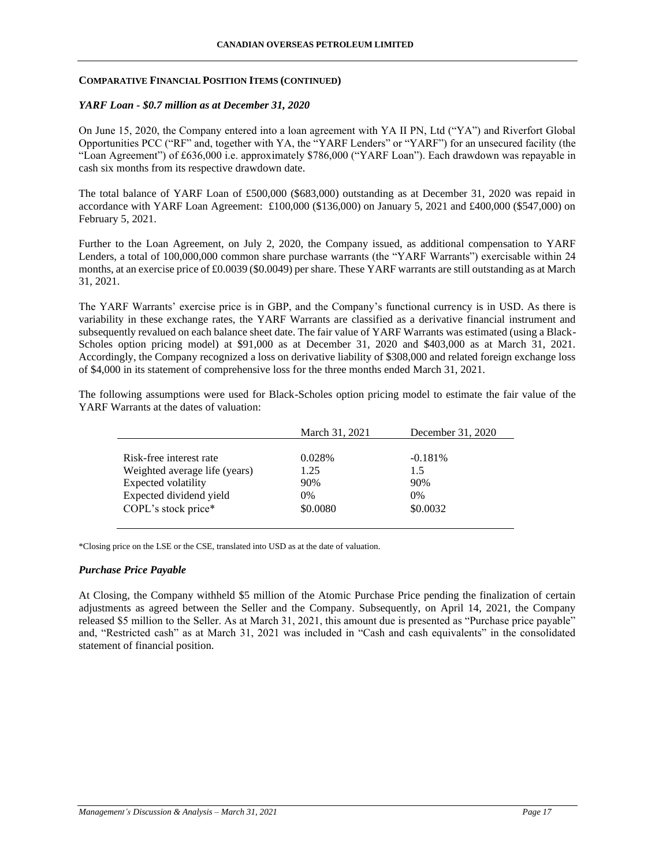### *YARF Loan - \$0.7 million as at December 31, 2020*

On June 15, 2020, the Company entered into a loan agreement with YA II PN, Ltd ("YA") and Riverfort Global Opportunities PCC ("RF" and, together with YA, the "YARF Lenders" or "YARF") for an unsecured facility (the "Loan Agreement") of £636,000 i.e. approximately \$786,000 ("YARF Loan"). Each drawdown was repayable in cash six months from its respective drawdown date.

The total balance of YARF Loan of £500,000 (\$683,000) outstanding as at December 31, 2020 was repaid in accordance with YARF Loan Agreement: £100,000 (\$136,000) on January 5, 2021 and £400,000 (\$547,000) on February 5, 2021.

Further to the Loan Agreement, on July 2, 2020, the Company issued, as additional compensation to YARF Lenders, a total of 100,000,000 common share purchase warrants (the "YARF Warrants") exercisable within 24 months, at an exercise price of £0.0039 (\$0.0049) per share. These YARF warrants are still outstanding as at March 31, 2021.

The YARF Warrants' exercise price is in GBP, and the Company's functional currency is in USD. As there is variability in these exchange rates, the YARF Warrants are classified as a derivative financial instrument and subsequently revalued on each balance sheet date. The fair value of YARF Warrants was estimated (using a Black-Scholes option pricing model) at \$91,000 as at December 31, 2020 and \$403,000 as at March 31, 2021. Accordingly, the Company recognized a loss on derivative liability of \$308,000 and related foreign exchange loss of \$4,000 in its statement of comprehensive loss for the three months ended March 31, 2021.

|                               | March 31, 2021 | December 31, 2020 |
|-------------------------------|----------------|-------------------|
|                               |                |                   |
| Risk-free interest rate       | 0.028%         | $-0.181%$         |
| Weighted average life (years) | 1.25           | 1.5               |
| <b>Expected volatility</b>    | 90%            | 90%               |
| Expected dividend yield       | $0\%$          | $0\%$             |
| COPL's stock price*           | \$0.0080       | \$0.0032          |

The following assumptions were used for Black-Scholes option pricing model to estimate the fair value of the YARF Warrants at the dates of valuation:

\*Closing price on the LSE or the CSE, translated into USD as at the date of valuation.

#### *Purchase Price Payable*

At Closing, the Company withheld \$5 million of the Atomic Purchase Price pending the finalization of certain adjustments as agreed between the Seller and the Company. Subsequently, on April 14, 2021, the Company released \$5 million to the Seller. As at March 31, 2021, this amount due is presented as "Purchase price payable" and, "Restricted cash" as at March 31, 2021 was included in "Cash and cash equivalents" in the consolidated statement of financial position.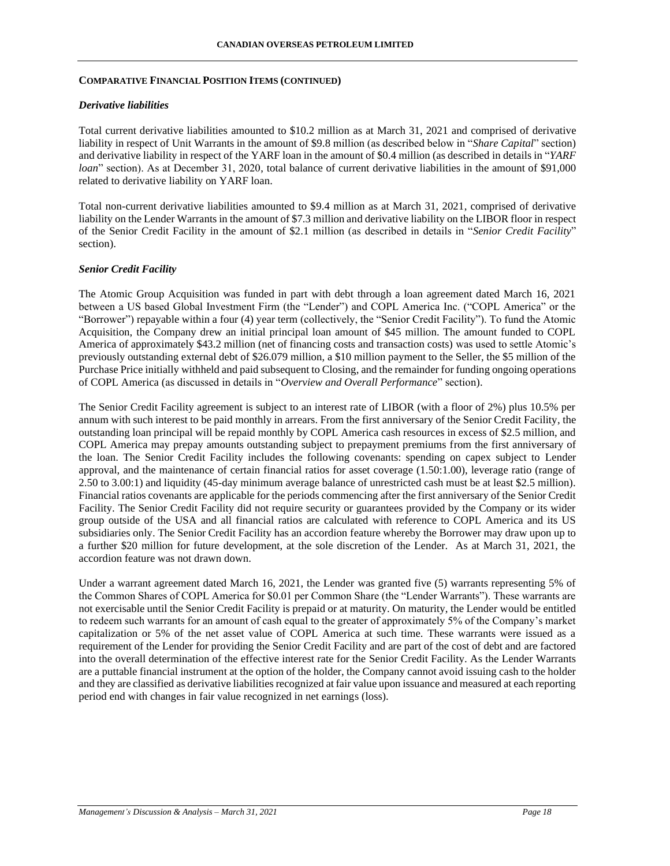#### *Derivative liabilities*

Total current derivative liabilities amounted to \$10.2 million as at March 31, 2021 and comprised of derivative liability in respect of Unit Warrants in the amount of \$9.8 million (as described below in "*Share Capital*" section) and derivative liability in respect of the YARF loan in the amount of \$0.4 million (as described in details in "*YARF loan*" section). As at December 31, 2020, total balance of current derivative liabilities in the amount of \$91,000 related to derivative liability on YARF loan.

Total non-current derivative liabilities amounted to \$9.4 million as at March 31, 2021, comprised of derivative liability on the Lender Warrants in the amount of \$7.3 million and derivative liability on the LIBOR floor in respect of the Senior Credit Facility in the amount of \$2.1 million (as described in details in "*Senior Credit Facility*" section).

#### *Senior Credit Facility*

The Atomic Group Acquisition was funded in part with debt through a loan agreement dated March 16, 2021 between a US based Global Investment Firm (the "Lender") and COPL America Inc. ("COPL America" or the "Borrower") repayable within a four (4) year term (collectively, the "Senior Credit Facility"). To fund the Atomic Acquisition, the Company drew an initial principal loan amount of \$45 million. The amount funded to COPL America of approximately \$43.2 million (net of financing costs and transaction costs) was used to settle Atomic's previously outstanding external debt of \$26.079 million, a \$10 million payment to the Seller, the \$5 million of the Purchase Price initially withheld and paid subsequent to Closing, and the remainder for funding ongoing operations of COPL America (as discussed in details in "*Overview and Overall Performance*" section).

The Senior Credit Facility agreement is subject to an interest rate of LIBOR (with a floor of 2%) plus 10.5% per annum with such interest to be paid monthly in arrears. From the first anniversary of the Senior Credit Facility, the outstanding loan principal will be repaid monthly by COPL America cash resources in excess of \$2.5 million, and COPL America may prepay amounts outstanding subject to prepayment premiums from the first anniversary of the loan. The Senior Credit Facility includes the following covenants: spending on capex subject to Lender approval, and the maintenance of certain financial ratios for asset coverage (1.50:1.00), leverage ratio (range of 2.50 to 3.00:1) and liquidity (45-day minimum average balance of unrestricted cash must be at least \$2.5 million). Financial ratios covenants are applicable for the periods commencing after the first anniversary of the Senior Credit Facility. The Senior Credit Facility did not require security or guarantees provided by the Company or its wider group outside of the USA and all financial ratios are calculated with reference to COPL America and its US subsidiaries only. The Senior Credit Facility has an accordion feature whereby the Borrower may draw upon up to a further \$20 million for future development, at the sole discretion of the Lender. As at March 31, 2021, the accordion feature was not drawn down.

Under a warrant agreement dated March 16, 2021, the Lender was granted five (5) warrants representing 5% of the Common Shares of COPL America for \$0.01 per Common Share (the "Lender Warrants"). These warrants are not exercisable until the Senior Credit Facility is prepaid or at maturity. On maturity, the Lender would be entitled to redeem such warrants for an amount of cash equal to the greater of approximately 5% of the Company's market capitalization or 5% of the net asset value of COPL America at such time. These warrants were issued as a requirement of the Lender for providing the Senior Credit Facility and are part of the cost of debt and are factored into the overall determination of the effective interest rate for the Senior Credit Facility. As the Lender Warrants are a puttable financial instrument at the option of the holder, the Company cannot avoid issuing cash to the holder and they are classified as derivative liabilities recognized at fair value upon issuance and measured at each reporting period end with changes in fair value recognized in net earnings (loss).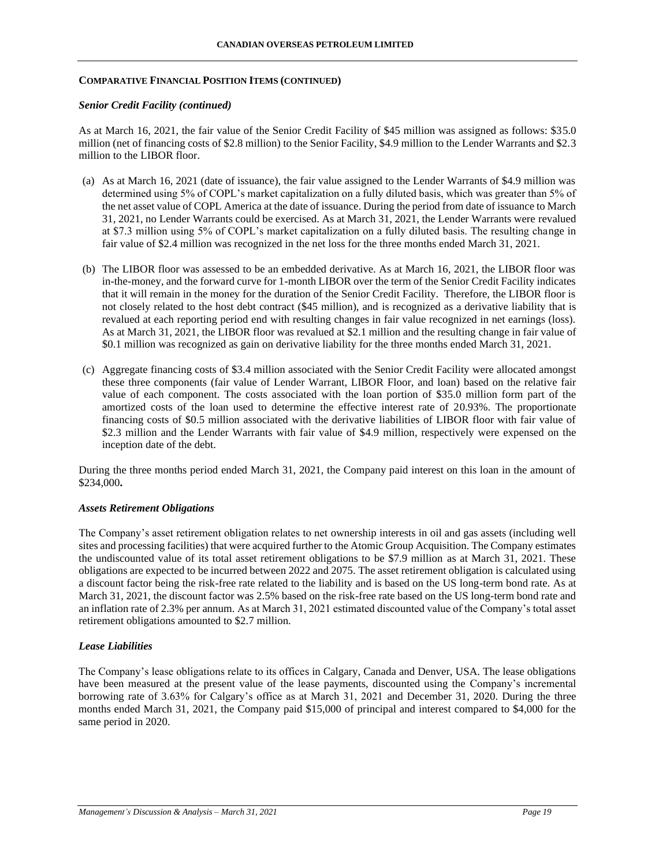### *Senior Credit Facility (continued)*

As at March 16, 2021, the fair value of the Senior Credit Facility of \$45 million was assigned as follows: \$35.0 million (net of financing costs of \$2.8 million) to the Senior Facility, \$4.9 million to the Lender Warrants and \$2.3 million to the LIBOR floor.

- (a) As at March 16, 2021 (date of issuance), the fair value assigned to the Lender Warrants of \$4.9 million was determined using 5% of COPL's market capitalization on a fully diluted basis, which was greater than 5% of the net asset value of COPL America at the date of issuance. During the period from date of issuance to March 31, 2021, no Lender Warrants could be exercised. As at March 31, 2021, the Lender Warrants were revalued at \$7.3 million using 5% of COPL's market capitalization on a fully diluted basis. The resulting change in fair value of \$2.4 million was recognized in the net loss for the three months ended March 31, 2021.
- (b) The LIBOR floor was assessed to be an embedded derivative. As at March 16, 2021, the LIBOR floor was in-the-money, and the forward curve for 1-month LIBOR over the term of the Senior Credit Facility indicates that it will remain in the money for the duration of the Senior Credit Facility. Therefore, the LIBOR floor is not closely related to the host debt contract (\$45 million), and is recognized as a derivative liability that is revalued at each reporting period end with resulting changes in fair value recognized in net earnings (loss). As at March 31, 2021, the LIBOR floor was revalued at \$2.1 million and the resulting change in fair value of \$0.1 million was recognized as gain on derivative liability for the three months ended March 31, 2021.
- (c) Aggregate financing costs of \$3.4 million associated with the Senior Credit Facility were allocated amongst these three components (fair value of Lender Warrant, LIBOR Floor, and loan) based on the relative fair value of each component. The costs associated with the loan portion of \$35.0 million form part of the amortized costs of the loan used to determine the effective interest rate of 20.93%. The proportionate financing costs of \$0.5 million associated with the derivative liabilities of LIBOR floor with fair value of \$2.3 million and the Lender Warrants with fair value of \$4.9 million, respectively were expensed on the inception date of the debt.

During the three months period ended March 31, 2021, the Company paid interest on this loan in the amount of \$234,000**.** 

#### *Assets Retirement Obligations*

The Company's asset retirement obligation relates to net ownership interests in oil and gas assets (including well sites and processing facilities) that were acquired further to the Atomic Group Acquisition. The Company estimates the undiscounted value of its total asset retirement obligations to be \$7.9 million as at March 31, 2021. These obligations are expected to be incurred between 2022 and 2075. The asset retirement obligation is calculated using a discount factor being the risk-free rate related to the liability and is based on the US long-term bond rate. As at March 31, 2021, the discount factor was 2.5% based on the risk-free rate based on the US long-term bond rate and an inflation rate of 2.3% per annum. As at March 31, 2021 estimated discounted value of the Company's total asset retirement obligations amounted to \$2.7 million.

# *Lease Liabilities*

The Company's lease obligations relate to its offices in Calgary, Canada and Denver, USA. The lease obligations have been measured at the present value of the lease payments, discounted using the Company's incremental borrowing rate of 3.63% for Calgary's office as at March 31, 2021 and December 31, 2020. During the three months ended March 31, 2021, the Company paid \$15,000 of principal and interest compared to \$4,000 for the same period in 2020.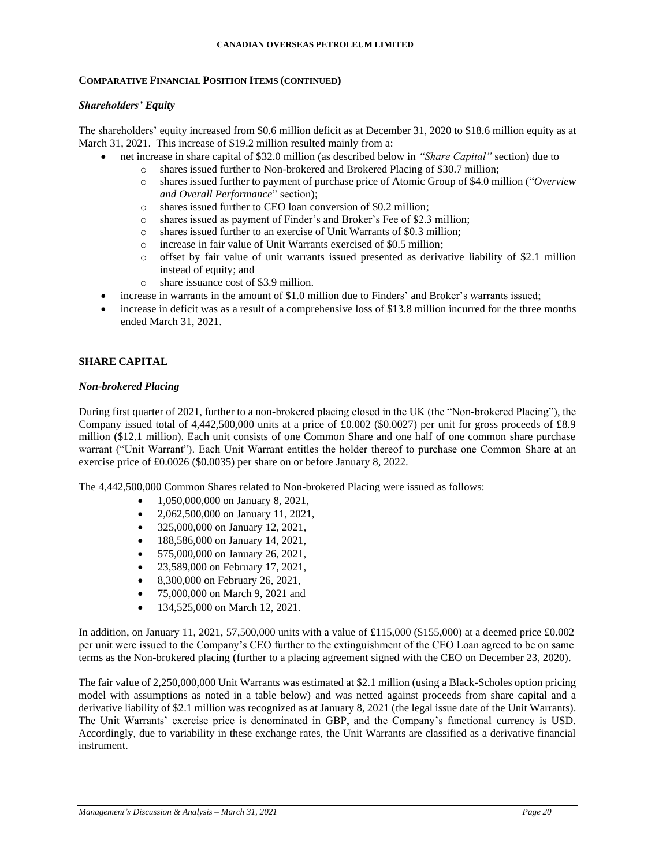### *Shareholders' Equity*

The shareholders' equity increased from \$0.6 million deficit as at December 31, 2020 to \$18.6 million equity as at March 31, 2021. This increase of \$19.2 million resulted mainly from a:

- net increase in share capital of \$32.0 million (as described below in *"Share Capital"* section) due to
	- o shares issued further to Non-brokered and Brokered Placing of \$30.7 million;
	- o shares issued further to payment of purchase price of Atomic Group of \$4.0 million ("*Overview and Overall Performance*" section);
	- o shares issued further to CEO loan conversion of \$0.2 million;
	- o shares issued as payment of Finder's and Broker's Fee of \$2.3 million;
	- o shares issued further to an exercise of Unit Warrants of \$0.3 million;
	- o increase in fair value of Unit Warrants exercised of \$0.5 million;
	- o offset by fair value of unit warrants issued presented as derivative liability of \$2.1 million instead of equity; and
	- o share issuance cost of \$3.9 million.
- increase in warrants in the amount of \$1.0 million due to Finders' and Broker's warrants issued;
- increase in deficit was as a result of a comprehensive loss of \$13.8 million incurred for the three months ended March 31, 2021.

# **SHARE CAPITAL**

#### *Non-brokered Placing*

During first quarter of 2021, further to a non-brokered placing closed in the UK (the "Non-brokered Placing"), the Company issued total of 4,442,500,000 units at a price of £0.002 (\$0.0027) per unit for gross proceeds of £8.9 million (\$12.1 million). Each unit consists of one Common Share and one half of one common share purchase warrant ("Unit Warrant"). Each Unit Warrant entitles the holder thereof to purchase one Common Share at an exercise price of £0.0026 (\$0.0035) per share on or before January 8, 2022.

The 4,442,500,000 Common Shares related to Non-brokered Placing were issued as follows:

- 1,050,000,000 on January 8, 2021,
- 2,062,500,000 on January 11, 2021,
- 325,000,000 on January 12, 2021,
- 188,586,000 on January 14, 2021,
- 575,000,000 on January 26, 2021,
- 23,589,000 on February 17, 2021,
- 8,300,000 on February 26, 2021,
- 75,000,000 on March 9, 2021 and
- 134,525,000 on March 12, 2021.

In addition, on January 11, 2021, 57,500,000 units with a value of £115,000 (\$155,000) at a deemed price £0.002 per unit were issued to the Company's CEO further to the extinguishment of the CEO Loan agreed to be on same terms as the Non-brokered placing (further to a placing agreement signed with the CEO on December 23, 2020).

The fair value of 2,250,000,000 Unit Warrants was estimated at \$2.1 million (using a Black-Scholes option pricing model with assumptions as noted in a table below) and was netted against proceeds from share capital and a derivative liability of \$2.1 million was recognized as at January 8, 2021 (the legal issue date of the Unit Warrants). The Unit Warrants' exercise price is denominated in GBP, and the Company's functional currency is USD. Accordingly, due to variability in these exchange rates, the Unit Warrants are classified as a derivative financial instrument.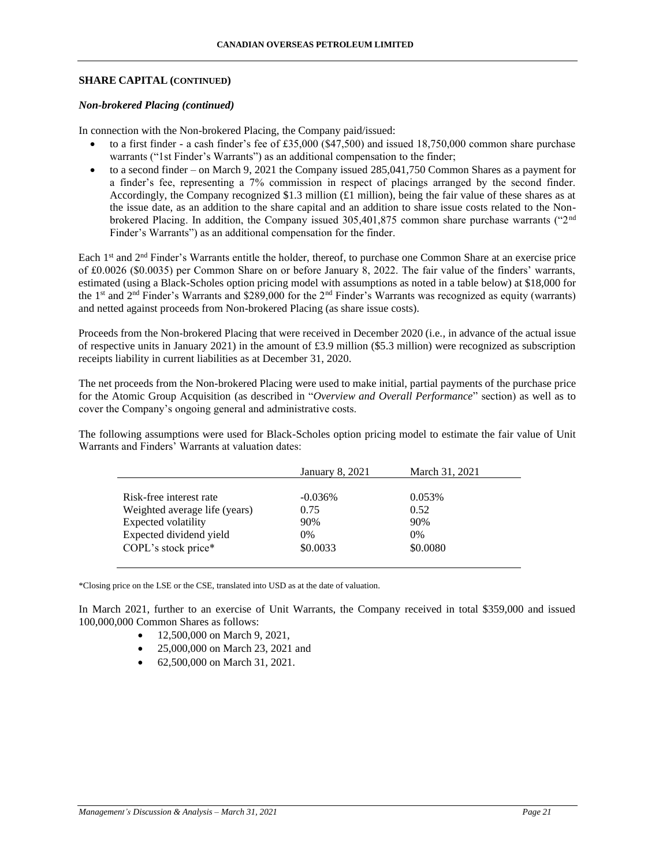### **SHARE CAPITAL (CONTINUED)**

### *Non-brokered Placing (continued)*

In connection with the Non-brokered Placing, the Company paid/issued:

- to a first finder a cash finder's fee of £35,000 (\$47,500) and issued 18,750,000 common share purchase warrants ("1st Finder's Warrants") as an additional compensation to the finder;
- to a second finder on March 9, 2021 the Company issued 285,041,750 Common Shares as a payment for a finder's fee, representing a 7% commission in respect of placings arranged by the second finder. Accordingly, the Company recognized \$1.3 million (£1 million), being the fair value of these shares as at the issue date, as an addition to the share capital and an addition to share issue costs related to the Nonbrokered Placing. In addition, the Company issued 305,401,875 common share purchase warrants ("2nd Finder's Warrants") as an additional compensation for the finder.

Each 1st and 2nd Finder's Warrants entitle the holder, thereof, to purchase one Common Share at an exercise price of £0.0026 (\$0.0035) per Common Share on or before January 8, 2022. The fair value of the finders' warrants, estimated (using a Black-Scholes option pricing model with assumptions as noted in a table below) at \$18,000 for the 1<sup>st</sup> and  $2<sup>nd</sup>$  Finder's Warrants and \$289,000 for the  $2<sup>nd</sup>$  Finder's Warrants was recognized as equity (warrants) and netted against proceeds from Non-brokered Placing (as share issue costs).

Proceeds from the Non-brokered Placing that were received in December 2020 (i.e., in advance of the actual issue of respective units in January 2021) in the amount of £3.9 million (\$5.3 million) were recognized as subscription receipts liability in current liabilities as at December 31, 2020.

The net proceeds from the Non-brokered Placing were used to make initial, partial payments of the purchase price for the Atomic Group Acquisition (as described in "*Overview and Overall Performance*" section) as well as to cover the Company's ongoing general and administrative costs.

The following assumptions were used for Black-Scholes option pricing model to estimate the fair value of Unit Warrants and Finders' Warrants at valuation dates:

|                               | <b>January 8, 2021</b> | March 31, 2021 |
|-------------------------------|------------------------|----------------|
|                               |                        |                |
| Risk-free interest rate       | $-0.036\%$             | 0.053%         |
| Weighted average life (years) | 0.75                   | 0.52           |
| Expected volatility           | 90%                    | 90%            |
| Expected dividend yield       | $0\%$                  | 0%             |
| COPL's stock price*           | \$0.0033               | \$0.0080       |
|                               |                        |                |

\*Closing price on the LSE or the CSE, translated into USD as at the date of valuation.

In March 2021, further to an exercise of Unit Warrants, the Company received in total \$359,000 and issued 100,000,000 Common Shares as follows:

- 12,500,000 on March 9, 2021.
- 25,000,000 on March 23, 2021 and
- 62,500,000 on March 31, 2021.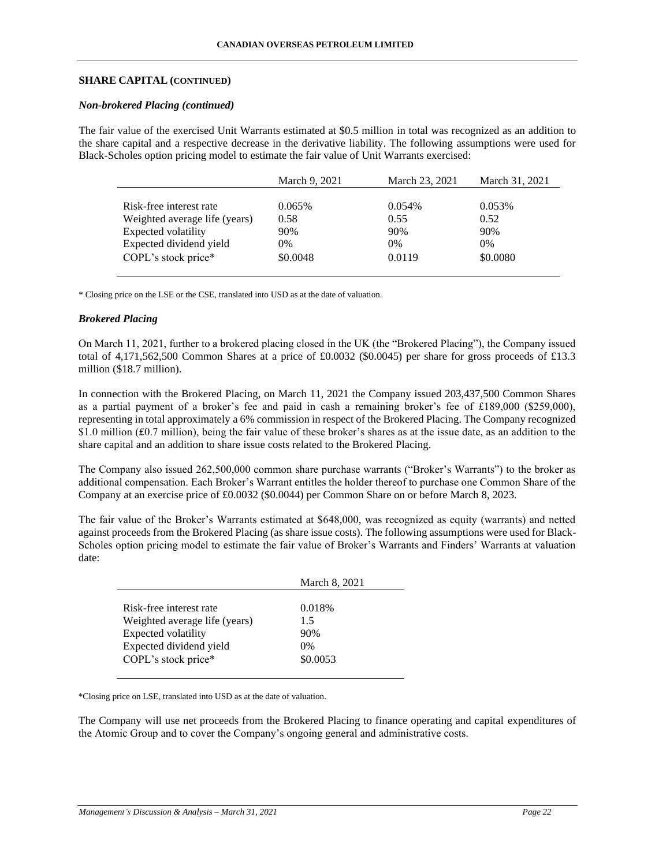### **SHARE CAPITAL (CONTINUED)**

#### *Non-brokered Placing (continued)*

The fair value of the exercised Unit Warrants estimated at \$0.5 million in total was recognized as an addition to the share capital and a respective decrease in the derivative liability. The following assumptions were used for Black-Scholes option pricing model to estimate the fair value of Unit Warrants exercised:

|                               | March 9, 2021 | March 23, 2021 | March 31, 2021 |
|-------------------------------|---------------|----------------|----------------|
|                               |               |                |                |
| Risk-free interest rate       | 0.065%        | 0.054%         | 0.053%         |
| Weighted average life (years) | 0.58          | 0.55           | 0.52           |
| Expected volatility           | 90%           | 90%            | 90%            |
| Expected dividend yield       | $0\%$         | $0\%$          | $0\%$          |
| COPL's stock price*           | \$0.0048      | 0.0119         | \$0.0080       |

\* Closing price on the LSE or the CSE, translated into USD as at the date of valuation.

#### *Brokered Placing*

On March 11, 2021, further to a brokered placing closed in the UK (the "Brokered Placing"), the Company issued total of 4,171,562,500 Common Shares at a price of £0.0032 (\$0.0045) per share for gross proceeds of £13.3 million (\$18.7 million).

In connection with the Brokered Placing, on March 11, 2021 the Company issued 203,437,500 Common Shares as a partial payment of a broker's fee and paid in cash a remaining broker's fee of £189,000 (\$259,000), representing in total approximately a 6% commission in respect of the Brokered Placing. The Company recognized \$1.0 million (£0.7 million), being the fair value of these broker's shares as at the issue date, as an addition to the share capital and an addition to share issue costs related to the Brokered Placing.

The Company also issued 262,500,000 common share purchase warrants ("Broker's Warrants") to the broker as additional compensation. Each Broker's Warrant entitles the holder thereof to purchase one Common Share of the Company at an exercise price of £0.0032 (\$0.0044) per Common Share on or before March 8, 2023.

The fair value of the Broker's Warrants estimated at \$648,000, was recognized as equity (warrants) and netted against proceeds from the Brokered Placing (as share issue costs). The following assumptions were used for Black-Scholes option pricing model to estimate the fair value of Broker's Warrants and Finders' Warrants at valuation date:

|                               | March 8, 2021 |
|-------------------------------|---------------|
|                               |               |
| Risk-free interest rate       | 0.018%        |
| Weighted average life (years) | 1.5           |
| Expected volatility           | 90%           |
| Expected dividend yield       | $0\%$         |
| COPL's stock price*           | \$0.0053      |

\*Closing price on LSE, translated into USD as at the date of valuation.

The Company will use net proceeds from the Brokered Placing to finance operating and capital expenditures of the Atomic Group and to cover the Company's ongoing general and administrative costs.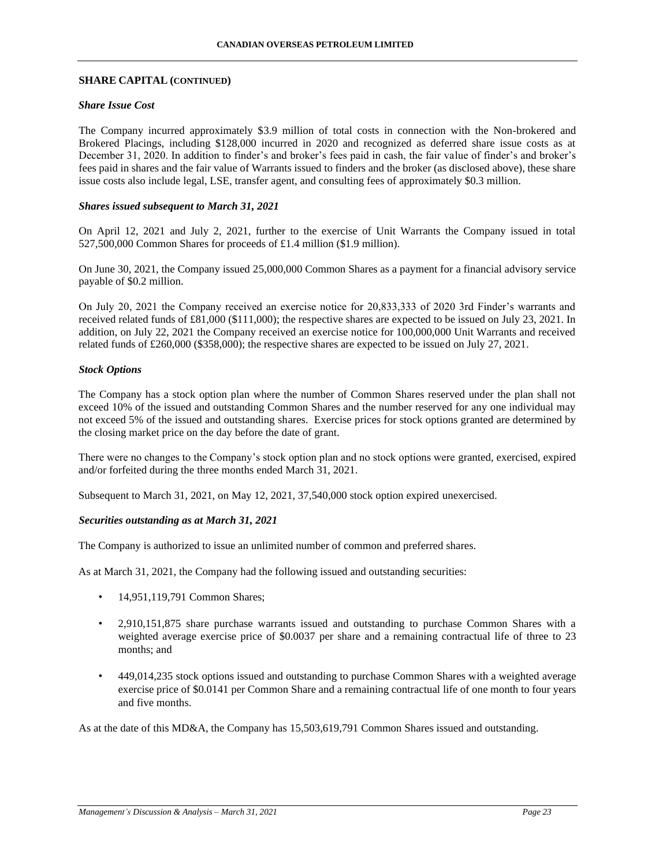### **SHARE CAPITAL (CONTINUED)**

### *Share Issue Cost*

The Company incurred approximately \$3.9 million of total costs in connection with the Non-brokered and Brokered Placings, including \$128,000 incurred in 2020 and recognized as deferred share issue costs as at December 31, 2020. In addition to finder's and broker's fees paid in cash, the fair value of finder's and broker's fees paid in shares and the fair value of Warrants issued to finders and the broker (as disclosed above), these share issue costs also include legal, LSE, transfer agent, and consulting fees of approximately \$0.3 million.

### *Shares issued subsequent to March 31, 2021*

On April 12, 2021 and July 2, 2021, further to the exercise of Unit Warrants the Company issued in total 527,500,000 Common Shares for proceeds of £1.4 million (\$1.9 million).

On June 30, 2021, the Company issued 25,000,000 Common Shares as a payment for a financial advisory service payable of \$0.2 million.

On July 20, 2021 the Company received an exercise notice for 20,833,333 of 2020 3rd Finder's warrants and received related funds of £81,000 (\$111,000); the respective shares are expected to be issued on July 23, 2021. In addition, on July 22, 2021 the Company received an exercise notice for 100,000,000 Unit Warrants and received related funds of £260,000 (\$358,000); the respective shares are expected to be issued on July 27, 2021.

#### *Stock Options*

The Company has a stock option plan where the number of Common Shares reserved under the plan shall not exceed 10% of the issued and outstanding Common Shares and the number reserved for any one individual may not exceed 5% of the issued and outstanding shares. Exercise prices for stock options granted are determined by the closing market price on the day before the date of grant.

There were no changes to the Company's stock option plan and no stock options were granted, exercised, expired and/or forfeited during the three months ended March 31, 2021.

Subsequent to March 31, 2021, on May 12, 2021, 37,540,000 stock option expired unexercised.

# *Securities outstanding as at March 31, 2021*

The Company is authorized to issue an unlimited number of common and preferred shares.

As at March 31, 2021, the Company had the following issued and outstanding securities:

- 14,951,119,791 Common Shares;
- 2,910,151,875 share purchase warrants issued and outstanding to purchase Common Shares with a weighted average exercise price of \$0.0037 per share and a remaining contractual life of three to 23 months; and
- 449,014,235 stock options issued and outstanding to purchase Common Shares with a weighted average exercise price of \$0.0141 per Common Share and a remaining contractual life of one month to four years and five months.

As at the date of this MD&A, the Company has 15,503,619,791 Common Shares issued and outstanding.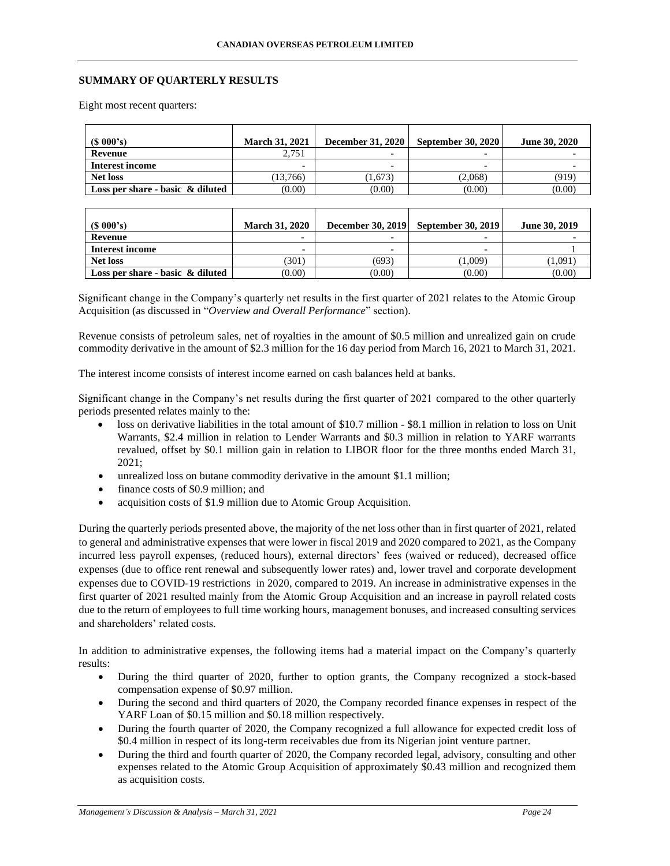### **SUMMARY OF QUARTERLY RESULTS**

Eight most recent quarters:

| $(S\ 000's)$                        | <b>March 31, 2021</b>    | December 31, 2020        | <b>September 30, 2020</b> | <b>June 30, 2020</b> |
|-------------------------------------|--------------------------|--------------------------|---------------------------|----------------------|
| Revenue                             | 2,751                    | $\overline{\phantom{0}}$ |                           |                      |
| Interest income                     | $\overline{\phantom{0}}$ | $\overline{\phantom{0}}$ |                           |                      |
| Net loss                            | (13.766)                 | (1,673)                  | (2,068)                   | (919)                |
| Loss per share - basic $\&$ diluted | (0.00)                   | (0.00)                   | (0.00)                    | (0.00)               |

| (S 000's)                           | <b>March 31, 2020</b>    | <b>December 30, 2019</b> | <b>September 30, 2019</b> | June 30, 2019 |
|-------------------------------------|--------------------------|--------------------------|---------------------------|---------------|
| Revenue                             | -                        | $\overline{\phantom{0}}$ |                           |               |
| Interest income                     | $\overline{\phantom{0}}$ | $\overline{\phantom{0}}$ |                           |               |
| Net loss                            | (301)                    | (693)                    | (1.009)                   | [1.091]       |
| Loss per share - basic $\&$ diluted | (0.00)                   | (0.00)                   | (0.00)                    | (0.00)        |

Significant change in the Company's quarterly net results in the first quarter of 2021 relates to the Atomic Group Acquisition (as discussed in "*Overview and Overall Performance*" section).

Revenue consists of petroleum sales, net of royalties in the amount of \$0.5 million and unrealized gain on crude commodity derivative in the amount of \$2.3 million for the 16 day period from March 16, 2021 to March 31, 2021.

The interest income consists of interest income earned on cash balances held at banks.

Significant change in the Company's net results during the first quarter of 2021 compared to the other quarterly periods presented relates mainly to the:

- loss on derivative liabilities in the total amount of \$10.7 million \$8.1 million in relation to loss on Unit Warrants, \$2.4 million in relation to Lender Warrants and \$0.3 million in relation to YARF warrants revalued, offset by \$0.1 million gain in relation to LIBOR floor for the three months ended March 31, 2021;
- unrealized loss on butane commodity derivative in the amount \$1.1 million;
- finance costs of \$0.9 million; and
- acquisition costs of \$1.9 million due to Atomic Group Acquisition.

During the quarterly periods presented above, the majority of the net loss other than in first quarter of 2021, related to general and administrative expenses that were lower in fiscal 2019 and 2020 compared to 2021, as the Company incurred less payroll expenses, (reduced hours), external directors' fees (waived or reduced), decreased office expenses (due to office rent renewal and subsequently lower rates) and, lower travel and corporate development expenses due to COVID-19 restrictions in 2020, compared to 2019. An increase in administrative expenses in the first quarter of 2021 resulted mainly from the Atomic Group Acquisition and an increase in payroll related costs due to the return of employees to full time working hours, management bonuses, and increased consulting services and shareholders' related costs.

In addition to administrative expenses, the following items had a material impact on the Company's quarterly results:

- During the third quarter of 2020, further to option grants, the Company recognized a stock-based compensation expense of \$0.97 million.
- During the second and third quarters of 2020, the Company recorded finance expenses in respect of the YARF Loan of \$0.15 million and \$0.18 million respectively.
- During the fourth quarter of 2020, the Company recognized a full allowance for expected credit loss of \$0.4 million in respect of its long-term receivables due from its Nigerian joint venture partner.
- During the third and fourth quarter of 2020, the Company recorded legal, advisory, consulting and other expenses related to the Atomic Group Acquisition of approximately \$0.43 million and recognized them as acquisition costs.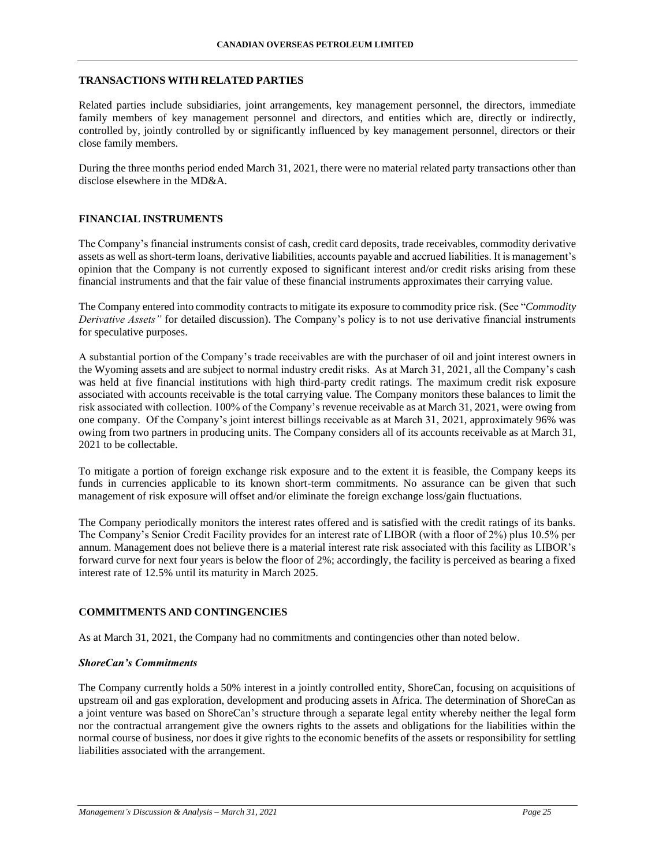### **TRANSACTIONS WITH RELATED PARTIES**

Related parties include subsidiaries, joint arrangements, key management personnel, the directors, immediate family members of key management personnel and directors, and entities which are, directly or indirectly, controlled by, jointly controlled by or significantly influenced by key management personnel, directors or their close family members.

During the three months period ended March 31, 2021, there were no material related party transactions other than disclose elsewhere in the MD&A.

# **FINANCIAL INSTRUMENTS**

The Company's financial instruments consist of cash, credit card deposits, trade receivables, commodity derivative assets as well as short-term loans, derivative liabilities, accounts payable and accrued liabilities. It is management's opinion that the Company is not currently exposed to significant interest and/or credit risks arising from these financial instruments and that the fair value of these financial instruments approximates their carrying value.

The Company entered into commodity contracts to mitigate its exposure to commodity price risk. (See "*Commodity Derivative Assets"* for detailed discussion). The Company's policy is to not use derivative financial instruments for speculative purposes.

A substantial portion of the Company's trade receivables are with the purchaser of oil and joint interest owners in the Wyoming assets and are subject to normal industry credit risks. As at March 31, 2021, all the Company's cash was held at five financial institutions with high third-party credit ratings. The maximum credit risk exposure associated with accounts receivable is the total carrying value. The Company monitors these balances to limit the risk associated with collection. 100% of the Company's revenue receivable as at March 31, 2021, were owing from one company. Of the Company's joint interest billings receivable as at March 31, 2021, approximately 96% was owing from two partners in producing units. The Company considers all of its accounts receivable as at March 31, 2021 to be collectable.

To mitigate a portion of foreign exchange risk exposure and to the extent it is feasible, the Company keeps its funds in currencies applicable to its known short-term commitments. No assurance can be given that such management of risk exposure will offset and/or eliminate the foreign exchange loss/gain fluctuations.

The Company periodically monitors the interest rates offered and is satisfied with the credit ratings of its banks. The Company's Senior Credit Facility provides for an interest rate of LIBOR (with a floor of 2%) plus 10.5% per annum. Management does not believe there is a material interest rate risk associated with this facility as LIBOR's forward curve for next four years is below the floor of 2%; accordingly, the facility is perceived as bearing a fixed interest rate of 12.5% until its maturity in March 2025.

# **COMMITMENTS AND CONTINGENCIES**

As at March 31, 2021, the Company had no commitments and contingencies other than noted below.

#### *ShoreCan's Commitments*

The Company currently holds a 50% interest in a jointly controlled entity, ShoreCan, focusing on acquisitions of upstream oil and gas exploration, development and producing assets in Africa. The determination of ShoreCan as a joint venture was based on ShoreCan's structure through a separate legal entity whereby neither the legal form nor the contractual arrangement give the owners rights to the assets and obligations for the liabilities within the normal course of business, nor does it give rights to the economic benefits of the assets or responsibility for settling liabilities associated with the arrangement.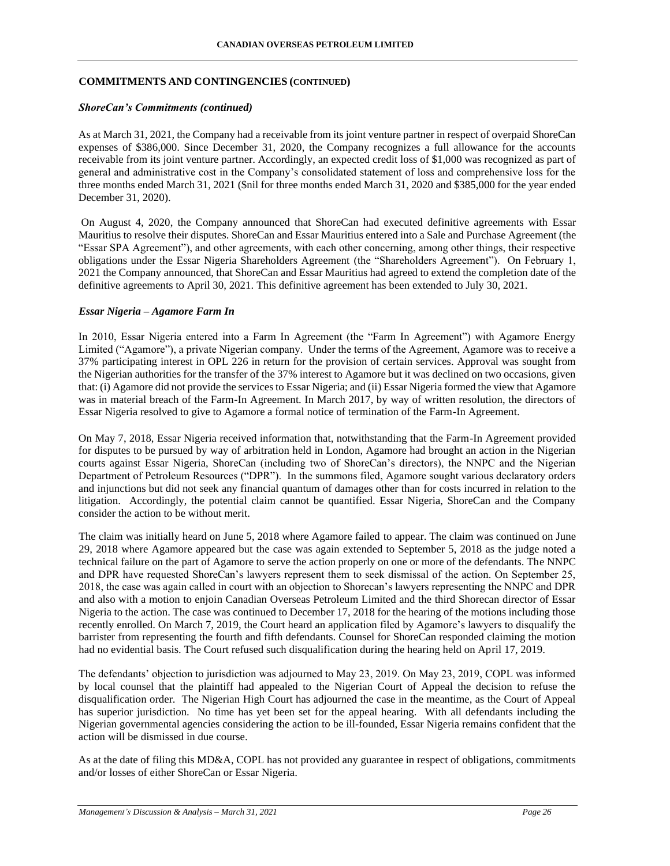### **COMMITMENTS AND CONTINGENCIES (CONTINUED)**

### *ShoreCan's Commitments (continued)*

As at March 31, 2021, the Company had a receivable from its joint venture partner in respect of overpaid ShoreCan expenses of \$386,000. Since December 31, 2020, the Company recognizes a full allowance for the accounts receivable from its joint venture partner. Accordingly, an expected credit loss of \$1,000 was recognized as part of general and administrative cost in the Company's consolidated statement of loss and comprehensive loss for the three months ended March 31, 2021 (\$nil for three months ended March 31, 2020 and \$385,000 for the year ended December 31, 2020).

On August 4, 2020, the Company announced that ShoreCan had executed definitive agreements with Essar Mauritius to resolve their disputes. ShoreCan and Essar Mauritius entered into a Sale and Purchase Agreement (the "Essar SPA Agreement"), and other agreements, with each other concerning, among other things, their respective obligations under the Essar Nigeria Shareholders Agreement (the "Shareholders Agreement"). On February 1, 2021 the Company announced, that ShoreCan and Essar Mauritius had agreed to extend the completion date of the definitive agreements to April 30, 2021. This definitive agreement has been extended to July 30, 2021.

#### *Essar Nigeria – Agamore Farm In*

In 2010, Essar Nigeria entered into a Farm In Agreement (the "Farm In Agreement") with Agamore Energy Limited ("Agamore"), a private Nigerian company. Under the terms of the Agreement, Agamore was to receive a 37% participating interest in OPL 226 in return for the provision of certain services. Approval was sought from the Nigerian authorities for the transfer of the 37% interest to Agamore but it was declined on two occasions, given that: (i) Agamore did not provide the services to Essar Nigeria; and (ii) Essar Nigeria formed the view that Agamore was in material breach of the Farm-In Agreement. In March 2017, by way of written resolution, the directors of Essar Nigeria resolved to give to Agamore a formal notice of termination of the Farm-In Agreement.

On May 7, 2018, Essar Nigeria received information that, notwithstanding that the Farm-In Agreement provided for disputes to be pursued by way of arbitration held in London, Agamore had brought an action in the Nigerian courts against Essar Nigeria, ShoreCan (including two of ShoreCan's directors), the NNPC and the Nigerian Department of Petroleum Resources ("DPR"). In the summons filed, Agamore sought various declaratory orders and injunctions but did not seek any financial quantum of damages other than for costs incurred in relation to the litigation. Accordingly, the potential claim cannot be quantified. Essar Nigeria, ShoreCan and the Company consider the action to be without merit.

The claim was initially heard on June 5, 2018 where Agamore failed to appear. The claim was continued on June 29, 2018 where Agamore appeared but the case was again extended to September 5, 2018 as the judge noted a technical failure on the part of Agamore to serve the action properly on one or more of the defendants. The NNPC and DPR have requested ShoreCan's lawyers represent them to seek dismissal of the action. On September 25, 2018, the case was again called in court with an objection to Shorecan's lawyers representing the NNPC and DPR and also with a motion to enjoin Canadian Overseas Petroleum Limited and the third Shorecan director of Essar Nigeria to the action. The case was continued to December 17, 2018 for the hearing of the motions including those recently enrolled. On March 7, 2019, the Court heard an application filed by Agamore's lawyers to disqualify the barrister from representing the fourth and fifth defendants. Counsel for ShoreCan responded claiming the motion had no evidential basis. The Court refused such disqualification during the hearing held on April 17, 2019.

The defendants' objection to jurisdiction was adjourned to May 23, 2019. On May 23, 2019, COPL was informed by local counsel that the plaintiff had appealed to the Nigerian Court of Appeal the decision to refuse the disqualification order. The Nigerian High Court has adjourned the case in the meantime, as the Court of Appeal has superior jurisdiction. No time has yet been set for the appeal hearing. With all defendants including the Nigerian governmental agencies considering the action to be ill-founded, Essar Nigeria remains confident that the action will be dismissed in due course.

As at the date of filing this MD&A, COPL has not provided any guarantee in respect of obligations, commitments and/or losses of either ShoreCan or Essar Nigeria.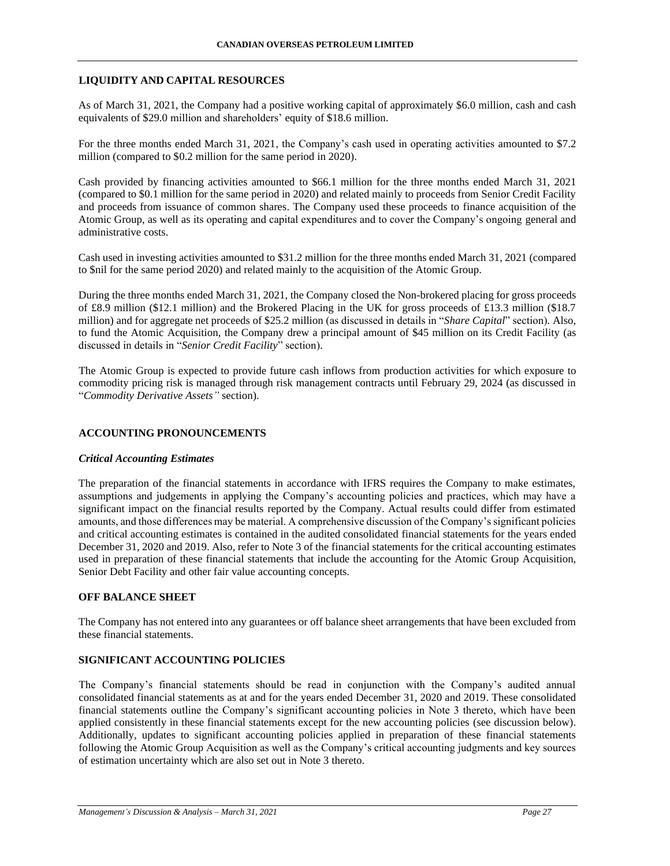### **LIQUIDITY AND CAPITAL RESOURCES**

As of March 31, 2021, the Company had a positive working capital of approximately \$6.0 million, cash and cash equivalents of \$29.0 million and shareholders' equity of \$18.6 million.

For the three months ended March 31, 2021, the Company's cash used in operating activities amounted to \$7.2 million (compared to \$0.2 million for the same period in 2020).

Cash provided by financing activities amounted to \$66.1 million for the three months ended March 31, 2021 (compared to \$0.1 million for the same period in 2020) and related mainly to proceeds from Senior Credit Facility and proceeds from issuance of common shares. The Company used these proceeds to finance acquisition of the Atomic Group, as well as its operating and capital expenditures and to cover the Company's ongoing general and administrative costs.

Cash used in investing activities amounted to \$31.2 million for the three months ended March 31, 2021 (compared to \$nil for the same period 2020) and related mainly to the acquisition of the Atomic Group.

During the three months ended March 31, 2021, the Company closed the Non-brokered placing for gross proceeds of £8.9 million (\$12.1 million) and the Brokered Placing in the UK for gross proceeds of £13.3 million (\$18.7 million) and for aggregate net proceeds of \$25.2 million (as discussed in details in "*Share Capital*" section). Also, to fund the Atomic Acquisition, the Company drew a principal amount of \$45 million on its Credit Facility (as discussed in details in "*Senior Credit Facility*" section).

The Atomic Group is expected to provide future cash inflows from production activities for which exposure to commodity pricing risk is managed through risk management contracts until February 29, 2024 (as discussed in "*Commodity Derivative Assets"* section).

### **ACCOUNTING PRONOUNCEMENTS**

#### *Critical Accounting Estimates*

The preparation of the financial statements in accordance with IFRS requires the Company to make estimates, assumptions and judgements in applying the Company's accounting policies and practices, which may have a significant impact on the financial results reported by the Company. Actual results could differ from estimated amounts, and those differences may be material. A comprehensive discussion of the Company's significant policies and critical accounting estimates is contained in the audited consolidated financial statements for the years ended December 31, 2020 and 2019. Also, refer to Note 3 of the financial statements for the critical accounting estimates used in preparation of these financial statements that include the accounting for the Atomic Group Acquisition, Senior Debt Facility and other fair value accounting concepts.

### **OFF BALANCE SHEET**

The Company has not entered into any guarantees or off balance sheet arrangements that have been excluded from these financial statements.

### **SIGNIFICANT ACCOUNTING POLICIES**

The Company's financial statements should be read in conjunction with the Company's audited annual consolidated financial statements as at and for the years ended December 31, 2020 and 2019. These consolidated financial statements outline the Company's significant accounting policies in Note 3 thereto, which have been applied consistently in these financial statements except for the new accounting policies (see discussion below). Additionally, updates to significant accounting policies applied in preparation of these financial statements following the Atomic Group Acquisition as well as the Company's critical accounting judgments and key sources of estimation uncertainty which are also set out in Note 3 thereto.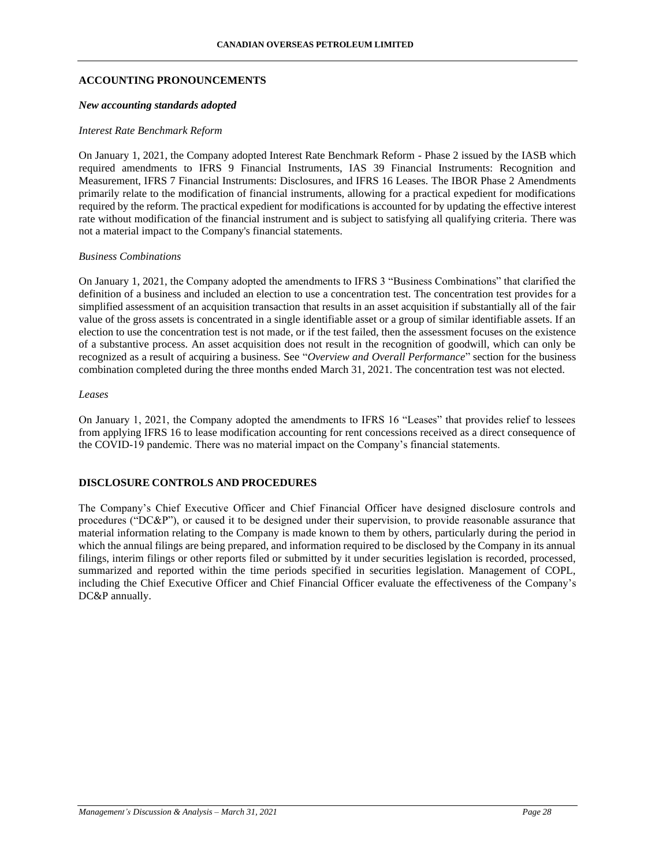#### **ACCOUNTING PRONOUNCEMENTS**

#### *New accounting standards adopted*

#### *Interest Rate Benchmark Reform*

On January 1, 2021, the Company adopted Interest Rate Benchmark Reform - Phase 2 issued by the IASB which required amendments to IFRS 9 Financial Instruments, IAS 39 Financial Instruments: Recognition and Measurement, IFRS 7 Financial Instruments: Disclosures, and IFRS 16 Leases. The IBOR Phase 2 Amendments primarily relate to the modification of financial instruments, allowing for a practical expedient for modifications required by the reform. The practical expedient for modifications is accounted for by updating the effective interest rate without modification of the financial instrument and is subject to satisfying all qualifying criteria. There was not a material impact to the Company's financial statements.

#### *Business Combinations*

On January 1, 2021, the Company adopted the amendments to IFRS 3 "Business Combinations" that clarified the definition of a business and included an election to use a concentration test. The concentration test provides for a simplified assessment of an acquisition transaction that results in an asset acquisition if substantially all of the fair value of the gross assets is concentrated in a single identifiable asset or a group of similar identifiable assets. If an election to use the concentration test is not made, or if the test failed, then the assessment focuses on the existence of a substantive process. An asset acquisition does not result in the recognition of goodwill, which can only be recognized as a result of acquiring a business. See "*Overview and Overall Performance*" section for the business combination completed during the three months ended March 31, 2021. The concentration test was not elected.

#### *Leases*

On January 1, 2021, the Company adopted the amendments to IFRS 16 "Leases" that provides relief to lessees from applying IFRS 16 to lease modification accounting for rent concessions received as a direct consequence of the COVID-19 pandemic. There was no material impact on the Company's financial statements.

### **DISCLOSURE CONTROLS AND PROCEDURES**

The Company's Chief Executive Officer and Chief Financial Officer have designed disclosure controls and procedures ("DC&P"), or caused it to be designed under their supervision, to provide reasonable assurance that material information relating to the Company is made known to them by others, particularly during the period in which the annual filings are being prepared, and information required to be disclosed by the Company in its annual filings, interim filings or other reports filed or submitted by it under securities legislation is recorded, processed, summarized and reported within the time periods specified in securities legislation. Management of COPL, including the Chief Executive Officer and Chief Financial Officer evaluate the effectiveness of the Company's DC&P annually.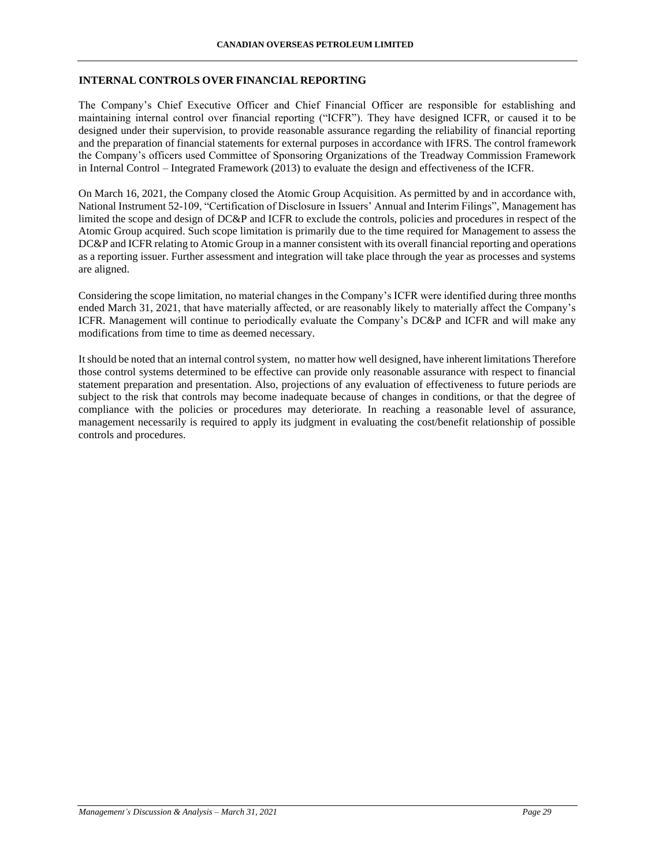### **INTERNAL CONTROLS OVER FINANCIAL REPORTING**

The Company's Chief Executive Officer and Chief Financial Officer are responsible for establishing and maintaining internal control over financial reporting ("ICFR"). They have designed ICFR, or caused it to be designed under their supervision, to provide reasonable assurance regarding the reliability of financial reporting and the preparation of financial statements for external purposes in accordance with IFRS. The control framework the Company's officers used Committee of Sponsoring Organizations of the Treadway Commission Framework in Internal Control – Integrated Framework (2013) to evaluate the design and effectiveness of the ICFR.

On March 16, 2021, the Company closed the Atomic Group Acquisition. As permitted by and in accordance with, National Instrument 52-109, "Certification of Disclosure in Issuers' Annual and Interim Filings", Management has limited the scope and design of DC&P and ICFR to exclude the controls, policies and procedures in respect of the Atomic Group acquired. Such scope limitation is primarily due to the time required for Management to assess the DC&P and ICFR relating to Atomic Group in a manner consistent with its overall financial reporting and operations as a reporting issuer. Further assessment and integration will take place through the year as processes and systems are aligned.

Considering the scope limitation, no material changes in the Company's ICFR were identified during three months ended March 31, 2021, that have materially affected, or are reasonably likely to materially affect the Company's ICFR. Management will continue to periodically evaluate the Company's DC&P and ICFR and will make any modifications from time to time as deemed necessary.

It should be noted that an internal control system, no matter how well designed, have inherent limitations Therefore those control systems determined to be effective can provide only reasonable assurance with respect to financial statement preparation and presentation. Also, projections of any evaluation of effectiveness to future periods are subject to the risk that controls may become inadequate because of changes in conditions, or that the degree of compliance with the policies or procedures may deteriorate. In reaching a reasonable level of assurance, management necessarily is required to apply its judgment in evaluating the cost/benefit relationship of possible controls and procedures.